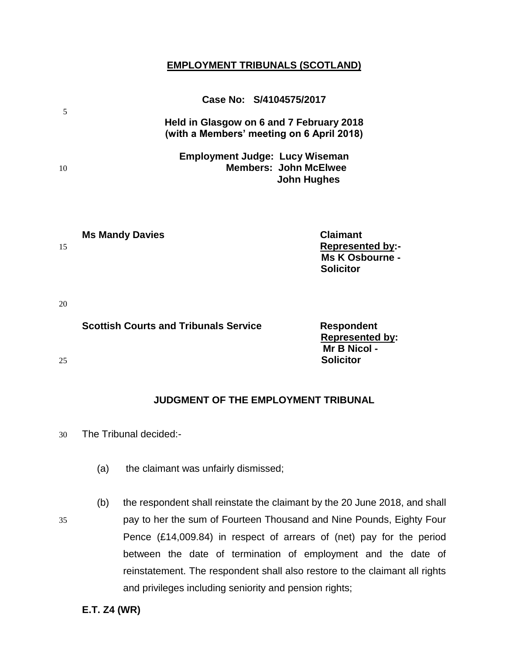# **EMPLOYMENT TRIBUNALS (SCOTLAND)**

|    |                        | Case No: S/4104575/2017                                                               |
|----|------------------------|---------------------------------------------------------------------------------------|
| 5  |                        | Held in Glasgow on 6 and 7 February 2018<br>(with a Members' meeting on 6 April 2018) |
| 10 |                        | Employment Judge: Lucy Wiseman<br><b>Members: John McElwee</b><br>John Hughes         |
|    |                        |                                                                                       |
|    | <b>Ms Mandy Davies</b> | Claimant                                                                              |

| <b>THE MIGHT PUTTO</b> | <b>VIUIIIIUII</b>       |
|------------------------|-------------------------|
| 15                     | <b>Represented by:-</b> |
|                        | Ms K Osbourne -         |
|                        | <b>Solicitor</b>        |
|                        |                         |

20

# **Scottish Courts and Tribunals Service Transform Respondent**

25 **Solicitor**

**JUDGMENT OF THE EMPLOYMENT TRIBUNAL**

 **Represented by: Mr B Nicol -**

30 The Tribunal decided:-

(a) the claimant was unfairly dismissed;

(b) the respondent shall reinstate the claimant by the 20 June 2018, and shall 35 pay to her the sum of Fourteen Thousand and Nine Pounds, Eighty Four Pence (£14,009.84) in respect of arrears of (net) pay for the period between the date of termination of employment and the date of reinstatement. The respondent shall also restore to the claimant all rights and privileges including seniority and pension rights;

**E.T. Z4 (WR)**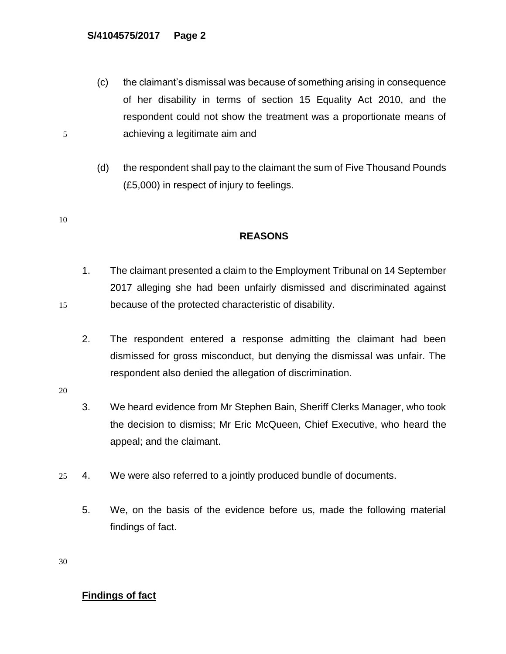- (c) the claimant's dismissal was because of something arising in consequence of her disability in terms of section 15 Equality Act 2010, and the respondent could not show the treatment was a proportionate means of 5 achieving a legitimate aim and
	- (d) the respondent shall pay to the claimant the sum of Five Thousand Pounds (£5,000) in respect of injury to feelings.
- 10

# **REASONS**

- 1. The claimant presented a claim to the Employment Tribunal on 14 September 2017 alleging she had been unfairly dismissed and discriminated against 15 because of the protected characteristic of disability.
	- 2. The respondent entered a response admitting the claimant had been dismissed for gross misconduct, but denying the dismissal was unfair. The respondent also denied the allegation of discrimination.
- 20
- 3. We heard evidence from Mr Stephen Bain, Sheriff Clerks Manager, who took the decision to dismiss; Mr Eric McQueen, Chief Executive, who heard the appeal; and the claimant.
- 25 4. We were also referred to a jointly produced bundle of documents.
	- 5. We, on the basis of the evidence before us, made the following material findings of fact.

30

# **Findings of fact**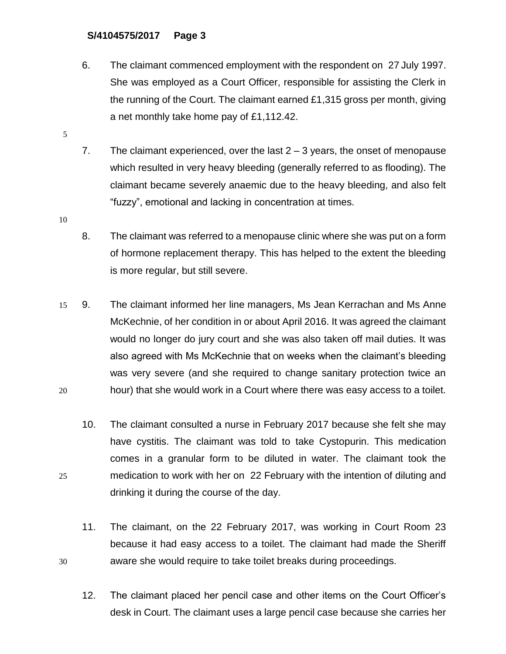- 6. The claimant commenced employment with the respondent on 27 July 1997. She was employed as a Court Officer, responsible for assisting the Clerk in the running of the Court. The claimant earned £1,315 gross per month, giving a net monthly take home pay of £1,112.42.
- 7. The claimant experienced, over the last 2 3 years, the onset of menopause which resulted in very heavy bleeding (generally referred to as flooding). The claimant became severely anaemic due to the heavy bleeding, and also felt "fuzzy", emotional and lacking in concentration at times.
- 10

- 8. The claimant was referred to a menopause clinic where she was put on a form of hormone replacement therapy. This has helped to the extent the bleeding is more regular, but still severe.
- 15 9. The claimant informed her line managers, Ms Jean Kerrachan and Ms Anne McKechnie, of her condition in or about April 2016. It was agreed the claimant would no longer do jury court and she was also taken off mail duties. It was also agreed with Ms McKechnie that on weeks when the claimant's bleeding was very severe (and she required to change sanitary protection twice an 20 hour) that she would work in a Court where there was easy access to a toilet.
- 10. The claimant consulted a nurse in February 2017 because she felt she may have cystitis. The claimant was told to take Cystopurin. This medication comes in a granular form to be diluted in water. The claimant took the 25 medication to work with her on 22 February with the intention of diluting and drinking it during the course of the day.
- 11. The claimant, on the 22 February 2017, was working in Court Room 23 because it had easy access to a toilet. The claimant had made the Sheriff 30 aware she would require to take toilet breaks during proceedings.
	- 12. The claimant placed her pencil case and other items on the Court Officer's desk in Court. The claimant uses a large pencil case because she carries her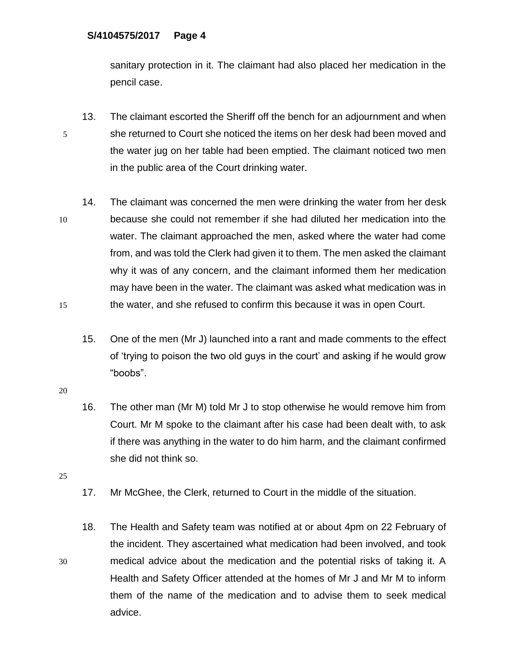sanitary protection in it. The claimant had also placed her medication in the pencil case.

- 13. The claimant escorted the Sheriff off the bench for an adjournment and when 5 she returned to Court she noticed the items on her desk had been moved and the water jug on her table had been emptied. The claimant noticed two men in the public area of the Court drinking water.
- 14. The claimant was concerned the men were drinking the water from her desk 10 because she could not remember if she had diluted her medication into the water. The claimant approached the men, asked where the water had come from, and was told the Clerk had given it to them. The men asked the claimant why it was of any concern, and the claimant informed them her medication may have been in the water. The claimant was asked what medication was in 15 the water, and she refused to confirm this because it was in open Court.
	- 15. One of the men (Mr J) launched into a rant and made comments to the effect of 'trying to poison the two old guys in the court' and asking if he would grow "boobs".
- 20
- 16. The other man (Mr M) told Mr J to stop otherwise he would remove him from Court. Mr M spoke to the claimant after his case had been dealt with, to ask if there was anything in the water to do him harm, and the claimant confirmed she did not think so.
- 25
- 17. Mr McGhee, the Clerk, returned to Court in the middle of the situation.
- 18. The Health and Safety team was notified at or about 4pm on 22 February of the incident. They ascertained what medication had been involved, and took 30 medical advice about the medication and the potential risks of taking it. A Health and Safety Officer attended at the homes of Mr J and Mr M to inform them of the name of the medication and to advise them to seek medical advice.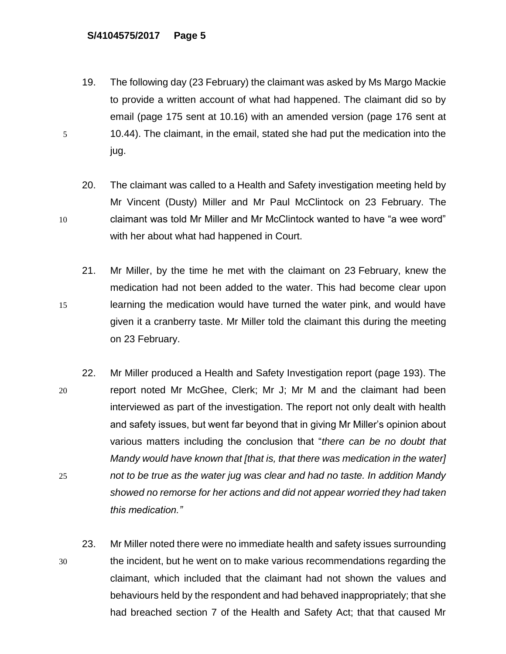- 19. The following day (23 February) the claimant was asked by Ms Margo Mackie to provide a written account of what had happened. The claimant did so by email (page 175 sent at 10.16) with an amended version (page 176 sent at 5 10.44). The claimant, in the email, stated she had put the medication into the jug.
- 20. The claimant was called to a Health and Safety investigation meeting held by Mr Vincent (Dusty) Miller and Mr Paul McClintock on 23 February. The 10 claimant was told Mr Miller and Mr McClintock wanted to have "a wee word" with her about what had happened in Court.
- 21. Mr Miller, by the time he met with the claimant on 23 February, knew the medication had not been added to the water. This had become clear upon 15 learning the medication would have turned the water pink, and would have given it a cranberry taste. Mr Miller told the claimant this during the meeting on 23 February.
- 22. Mr Miller produced a Health and Safety Investigation report (page 193). The 20 report noted Mr McGhee, Clerk; Mr J; Mr M and the claimant had been interviewed as part of the investigation. The report not only dealt with health and safety issues, but went far beyond that in giving Mr Miller's opinion about various matters including the conclusion that "*there can be no doubt that Mandy would have known that [that is, that there was medication in the water]*  25 *not to be true as the water jug was clear and had no taste. In addition Mandy showed no remorse for her actions and did not appear worried they had taken this medication."*
- 23. Mr Miller noted there were no immediate health and safety issues surrounding 30 the incident, but he went on to make various recommendations regarding the claimant, which included that the claimant had not shown the values and behaviours held by the respondent and had behaved inappropriately; that she had breached section 7 of the Health and Safety Act; that that caused Mr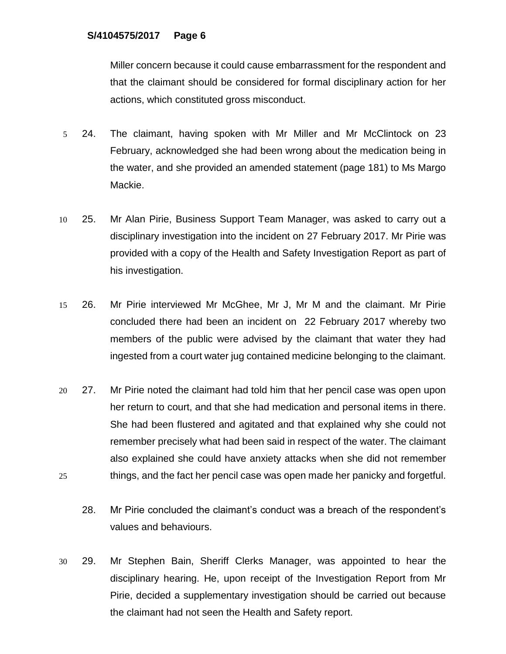Miller concern because it could cause embarrassment for the respondent and that the claimant should be considered for formal disciplinary action for her actions, which constituted gross misconduct.

- 5 24. The claimant, having spoken with Mr Miller and Mr McClintock on 23 February, acknowledged she had been wrong about the medication being in the water, and she provided an amended statement (page 181) to Ms Margo Mackie.
- 10 25. Mr Alan Pirie, Business Support Team Manager, was asked to carry out a disciplinary investigation into the incident on 27 February 2017. Mr Pirie was provided with a copy of the Health and Safety Investigation Report as part of his investigation.
- 15 26. Mr Pirie interviewed Mr McGhee, Mr J, Mr M and the claimant. Mr Pirie concluded there had been an incident on 22 February 2017 whereby two members of the public were advised by the claimant that water they had ingested from a court water jug contained medicine belonging to the claimant.
- 20 27. Mr Pirie noted the claimant had told him that her pencil case was open upon her return to court, and that she had medication and personal items in there. She had been flustered and agitated and that explained why she could not remember precisely what had been said in respect of the water. The claimant also explained she could have anxiety attacks when she did not remember 25 things, and the fact her pencil case was open made her panicky and forgetful.
	- 28. Mr Pirie concluded the claimant's conduct was a breach of the respondent's values and behaviours.
- 30 29. Mr Stephen Bain, Sheriff Clerks Manager, was appointed to hear the disciplinary hearing. He, upon receipt of the Investigation Report from Mr Pirie, decided a supplementary investigation should be carried out because the claimant had not seen the Health and Safety report.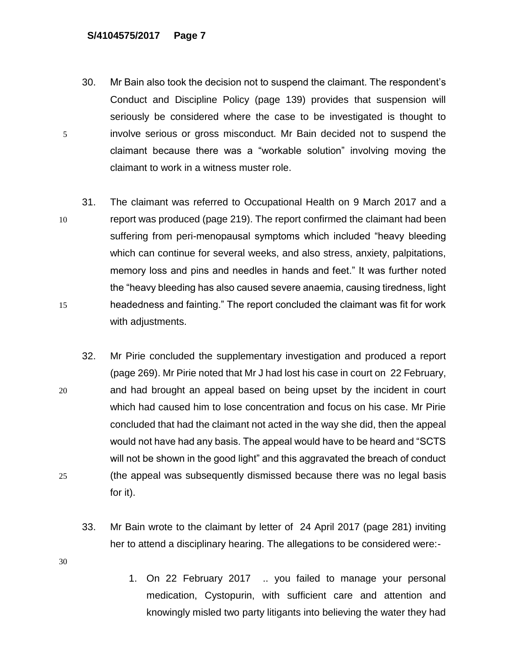- 30. Mr Bain also took the decision not to suspend the claimant. The respondent's Conduct and Discipline Policy (page 139) provides that suspension will seriously be considered where the case to be investigated is thought to 5 involve serious or gross misconduct. Mr Bain decided not to suspend the claimant because there was a "workable solution" involving moving the claimant to work in a witness muster role.
- 31. The claimant was referred to Occupational Health on 9 March 2017 and a 10 report was produced (page 219). The report confirmed the claimant had been suffering from peri-menopausal symptoms which included "heavy bleeding which can continue for several weeks, and also stress, anxiety, palpitations, memory loss and pins and needles in hands and feet." It was further noted the "heavy bleeding has also caused severe anaemia, causing tiredness, light 15 headedness and fainting." The report concluded the claimant was fit for work with adjustments.
- 32. Mr Pirie concluded the supplementary investigation and produced a report (page 269). Mr Pirie noted that Mr J had lost his case in court on 22 February, 20 and had brought an appeal based on being upset by the incident in court which had caused him to lose concentration and focus on his case. Mr Pirie concluded that had the claimant not acted in the way she did, then the appeal would not have had any basis. The appeal would have to be heard and "SCTS will not be shown in the good light" and this aggravated the breach of conduct 25 (the appeal was subsequently dismissed because there was no legal basis for it).
	- 33. Mr Bain wrote to the claimant by letter of 24 April 2017 (page 281) inviting her to attend a disciplinary hearing. The allegations to be considered were:-
- 30
- 1. On 22 February 2017 .. you failed to manage your personal medication, Cystopurin, with sufficient care and attention and knowingly misled two party litigants into believing the water they had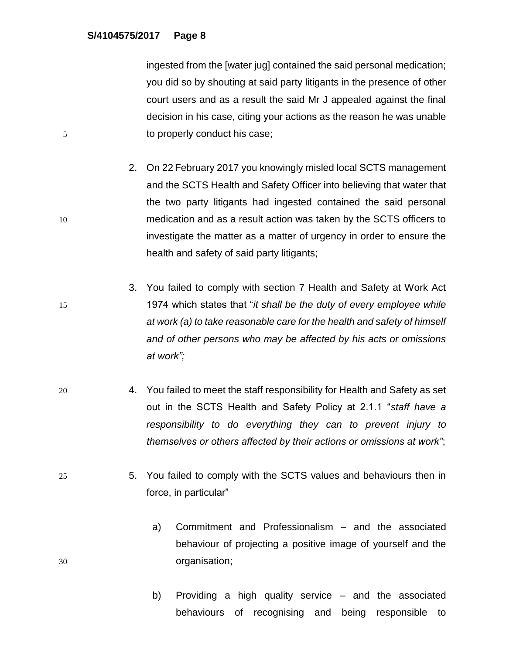ingested from the [water jug] contained the said personal medication; you did so by shouting at said party litigants in the presence of other court users and as a result the said Mr J appealed against the final decision in his case, citing your actions as the reason he was unable 5 to properly conduct his case;

- 2. On 22 February 2017 you knowingly misled local SCTS management and the SCTS Health and Safety Officer into believing that water that the two party litigants had ingested contained the said personal 10 medication and as a result action was taken by the SCTS officers to investigate the matter as a matter of urgency in order to ensure the health and safety of said party litigants;
- 3. You failed to comply with section 7 Health and Safety at Work Act 15 1974 which states that "*it shall be the duty of every employee while at work (a) to take reasonable care for the health and safety of himself and of other persons who may be affected by his acts or omissions at work";*
- 20 4. You failed to meet the staff responsibility for Health and Safety as set out in the SCTS Health and Safety Policy at 2.1.1 "*staff have a responsibility to do everything they can to prevent injury to themselves or others affected by their actions or omissions at work"*;
- 25 5. You failed to comply with the SCTS values and behaviours then in force, in particular"
- a) Commitment and Professionalism and the associated behaviour of projecting a positive image of yourself and the 30 organisation;
	- b) Providing a high quality service and the associated behaviours of recognising and being responsible to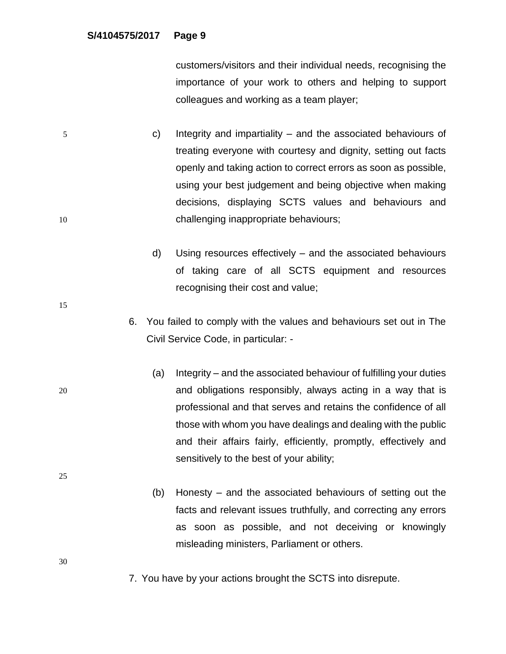customers/visitors and their individual needs, recognising the importance of your work to others and helping to support colleagues and working as a team player;

- 5 c) Integrity and impartiality and the associated behaviours of treating everyone with courtesy and dignity, setting out facts openly and taking action to correct errors as soon as possible, using your best judgement and being objective when making decisions, displaying SCTS values and behaviours and 10 challenging inappropriate behaviours;
	- d) Using resources effectively and the associated behaviours of taking care of all SCTS equipment and resources recognising their cost and value;
	- 6. You failed to comply with the values and behaviours set out in The Civil Service Code, in particular: -
- (a) Integrity and the associated behaviour of fulfilling your duties 20 and obligations responsibly, always acting in a way that is professional and that serves and retains the confidence of all those with whom you have dealings and dealing with the public and their affairs fairly, efficiently, promptly, effectively and sensitively to the best of your ability;
	- (b) Honesty and the associated behaviours of setting out the facts and relevant issues truthfully, and correcting any errors as soon as possible, and not deceiving or knowingly misleading ministers, Parliament or others.

30

25

15

7. You have by your actions brought the SCTS into disrepute.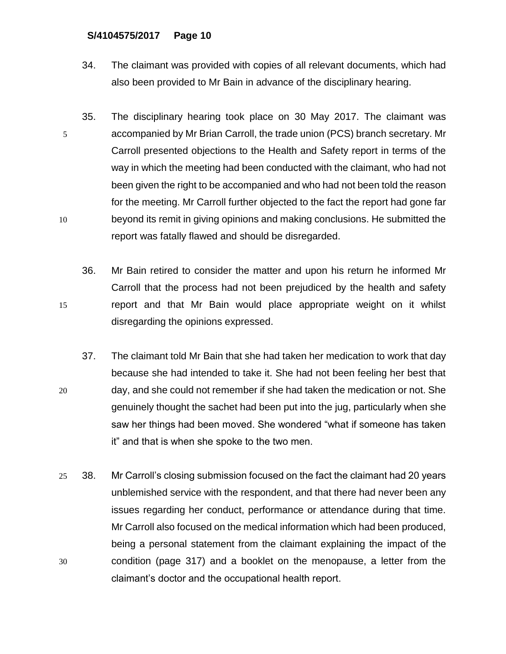- 34. The claimant was provided with copies of all relevant documents, which had also been provided to Mr Bain in advance of the disciplinary hearing.
- 35. The disciplinary hearing took place on 30 May 2017. The claimant was 5 accompanied by Mr Brian Carroll, the trade union (PCS) branch secretary. Mr Carroll presented objections to the Health and Safety report in terms of the way in which the meeting had been conducted with the claimant, who had not been given the right to be accompanied and who had not been told the reason for the meeting. Mr Carroll further objected to the fact the report had gone far 10 beyond its remit in giving opinions and making conclusions. He submitted the report was fatally flawed and should be disregarded.
- 36. Mr Bain retired to consider the matter and upon his return he informed Mr Carroll that the process had not been prejudiced by the health and safety 15 report and that Mr Bain would place appropriate weight on it whilst disregarding the opinions expressed.
- 37. The claimant told Mr Bain that she had taken her medication to work that day because she had intended to take it. She had not been feeling her best that 20 day, and she could not remember if she had taken the medication or not. She genuinely thought the sachet had been put into the jug, particularly when she saw her things had been moved. She wondered "what if someone has taken it" and that is when she spoke to the two men.
- 25 38. Mr Carroll's closing submission focused on the fact the claimant had 20 years unblemished service with the respondent, and that there had never been any issues regarding her conduct, performance or attendance during that time. Mr Carroll also focused on the medical information which had been produced, being a personal statement from the claimant explaining the impact of the 30 condition (page 317) and a booklet on the menopause, a letter from the claimant's doctor and the occupational health report.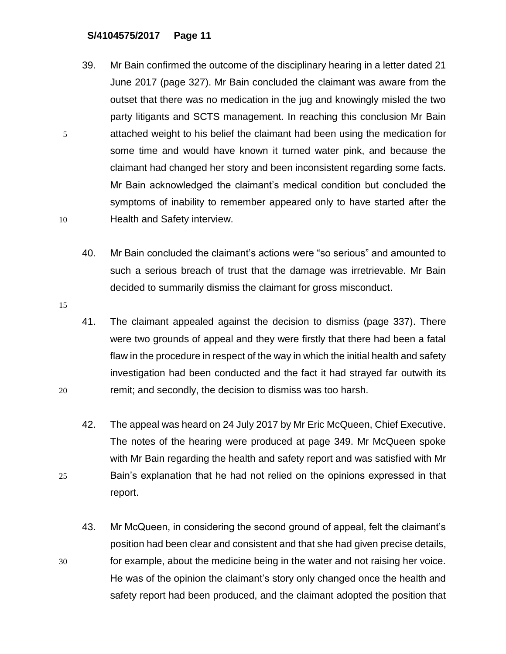- 39. Mr Bain confirmed the outcome of the disciplinary hearing in a letter dated 21 June 2017 (page 327). Mr Bain concluded the claimant was aware from the outset that there was no medication in the jug and knowingly misled the two party litigants and SCTS management. In reaching this conclusion Mr Bain 5 attached weight to his belief the claimant had been using the medication for some time and would have known it turned water pink, and because the claimant had changed her story and been inconsistent regarding some facts. Mr Bain acknowledged the claimant's medical condition but concluded the symptoms of inability to remember appeared only to have started after the 10 Health and Safety interview.
	- 40. Mr Bain concluded the claimant's actions were "so serious" and amounted to such a serious breach of trust that the damage was irretrievable. Mr Bain decided to summarily dismiss the claimant for gross misconduct.
- 15
- 41. The claimant appealed against the decision to dismiss (page 337). There were two grounds of appeal and they were firstly that there had been a fatal flaw in the procedure in respect of the way in which the initial health and safety investigation had been conducted and the fact it had strayed far outwith its 20 remit; and secondly, the decision to dismiss was too harsh.
- 42. The appeal was heard on 24 July 2017 by Mr Eric McQueen, Chief Executive. The notes of the hearing were produced at page 349. Mr McQueen spoke with Mr Bain regarding the health and safety report and was satisfied with Mr 25 Bain's explanation that he had not relied on the opinions expressed in that report.
- 43. Mr McQueen, in considering the second ground of appeal, felt the claimant's position had been clear and consistent and that she had given precise details, 30 for example, about the medicine being in the water and not raising her voice. He was of the opinion the claimant's story only changed once the health and safety report had been produced, and the claimant adopted the position that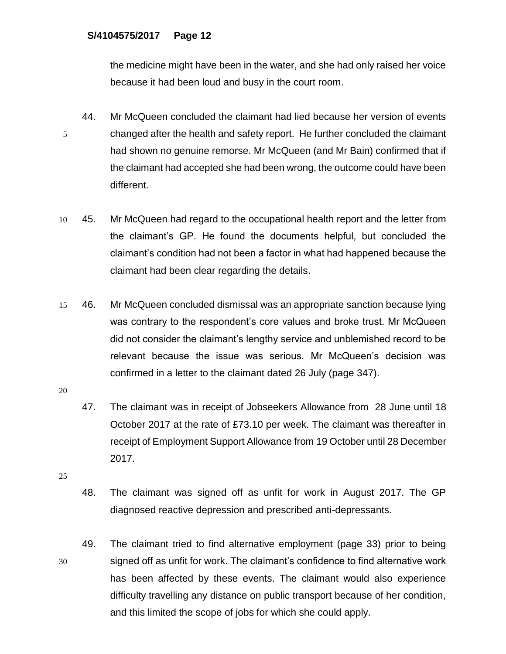the medicine might have been in the water, and she had only raised her voice because it had been loud and busy in the court room.

- 44. Mr McQueen concluded the claimant had lied because her version of events 5 changed after the health and safety report. He further concluded the claimant had shown no genuine remorse. Mr McQueen (and Mr Bain) confirmed that if the claimant had accepted she had been wrong, the outcome could have been different.
- 10 45. Mr McQueen had regard to the occupational health report and the letter from the claimant's GP. He found the documents helpful, but concluded the claimant's condition had not been a factor in what had happened because the claimant had been clear regarding the details.
- 15 46. Mr McQueen concluded dismissal was an appropriate sanction because lying was contrary to the respondent's core values and broke trust. Mr McQueen did not consider the claimant's lengthy service and unblemished record to be relevant because the issue was serious. Mr McQueen's decision was confirmed in a letter to the claimant dated 26 July (page 347).

- 47. The claimant was in receipt of Jobseekers Allowance from 28 June until 18 October 2017 at the rate of £73.10 per week. The claimant was thereafter in receipt of Employment Support Allowance from 19 October until 28 December 2017.
- 25
- 48. The claimant was signed off as unfit for work in August 2017. The GP diagnosed reactive depression and prescribed anti-depressants.
- 49. The claimant tried to find alternative employment (page 33) prior to being 30 signed off as unfit for work. The claimant's confidence to find alternative work has been affected by these events. The claimant would also experience difficulty travelling any distance on public transport because of her condition, and this limited the scope of jobs for which she could apply.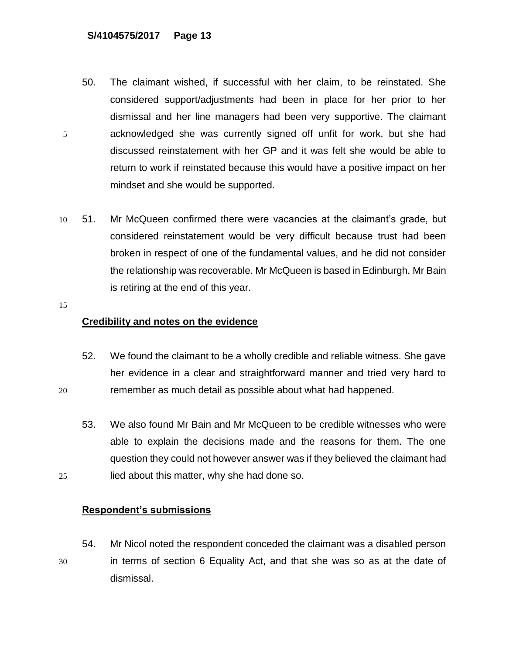- 50. The claimant wished, if successful with her claim, to be reinstated. She considered support/adjustments had been in place for her prior to her dismissal and her line managers had been very supportive. The claimant 5 acknowledged she was currently signed off unfit for work, but she had discussed reinstatement with her GP and it was felt she would be able to return to work if reinstated because this would have a positive impact on her mindset and she would be supported.
- 10 51. Mr McQueen confirmed there were vacancies at the claimant's grade, but considered reinstatement would be very difficult because trust had been broken in respect of one of the fundamental values, and he did not consider the relationship was recoverable. Mr McQueen is based in Edinburgh. Mr Bain is retiring at the end of this year.
- 15

# **Credibility and notes on the evidence**

- 52. We found the claimant to be a wholly credible and reliable witness. She gave her evidence in a clear and straightforward manner and tried very hard to 20 remember as much detail as possible about what had happened.
- 53. We also found Mr Bain and Mr McQueen to be credible witnesses who were able to explain the decisions made and the reasons for them. The one question they could not however answer was if they believed the claimant had 25 lied about this matter, why she had done so.

# **Respondent's submissions**

54. Mr Nicol noted the respondent conceded the claimant was a disabled person 30 in terms of section 6 Equality Act, and that she was so as at the date of dismissal.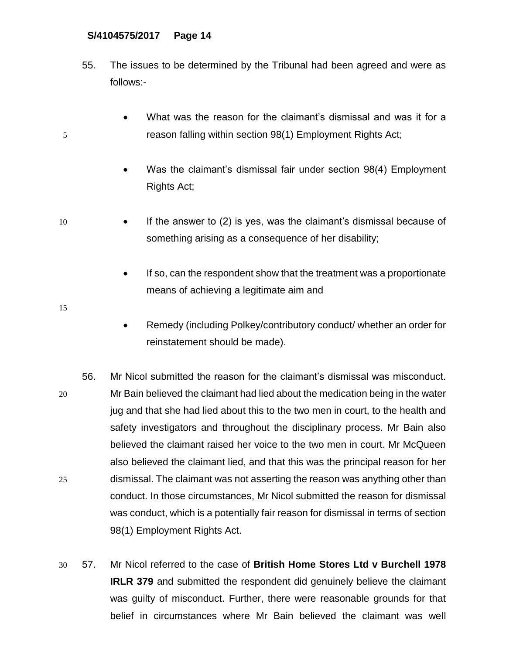- 55. The issues to be determined by the Tribunal had been agreed and were as follows:-
- What was the reason for the claimant's dismissal and was it for a 5 reason falling within section 98(1) Employment Rights Act;
	- Was the claimant's dismissal fair under section 98(4) Employment Rights Act;
- 10 If the answer to (2) is yes, was the claimant's dismissal because of something arising as a consequence of her disability;
	- If so, can the respondent show that the treatment was a proportionate means of achieving a legitimate aim and
- 15
- Remedy (including Polkey/contributory conduct/ whether an order for reinstatement should be made).
- 56. Mr Nicol submitted the reason for the claimant's dismissal was misconduct. 20 Mr Bain believed the claimant had lied about the medication being in the water jug and that she had lied about this to the two men in court, to the health and safety investigators and throughout the disciplinary process. Mr Bain also believed the claimant raised her voice to the two men in court. Mr McQueen also believed the claimant lied, and that this was the principal reason for her 25 dismissal. The claimant was not asserting the reason was anything other than conduct. In those circumstances, Mr Nicol submitted the reason for dismissal was conduct, which is a potentially fair reason for dismissal in terms of section 98(1) Employment Rights Act.
- 30 57. Mr Nicol referred to the case of **British Home Stores Ltd v Burchell 1978 IRLR 379** and submitted the respondent did genuinely believe the claimant was guilty of misconduct. Further, there were reasonable grounds for that belief in circumstances where Mr Bain believed the claimant was well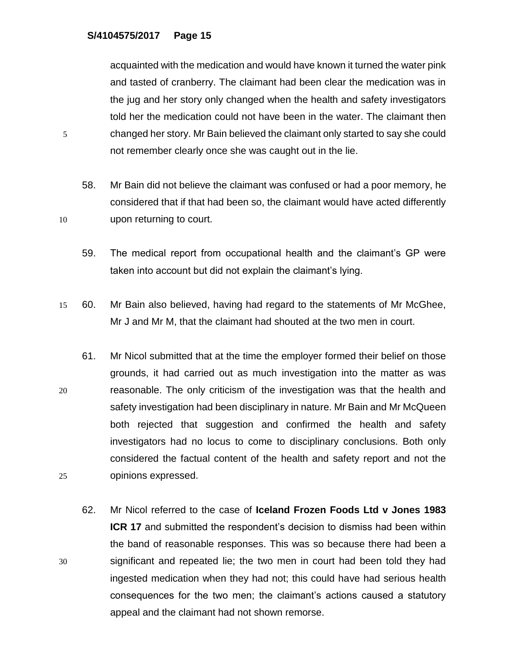acquainted with the medication and would have known it turned the water pink and tasted of cranberry. The claimant had been clear the medication was in the jug and her story only changed when the health and safety investigators told her the medication could not have been in the water. The claimant then 5 changed her story. Mr Bain believed the claimant only started to say she could not remember clearly once she was caught out in the lie.

58. Mr Bain did not believe the claimant was confused or had a poor memory, he considered that if that had been so, the claimant would have acted differently 10 upon returning to court.

59. The medical report from occupational health and the claimant's GP were taken into account but did not explain the claimant's lying.

- 15 60. Mr Bain also believed, having had regard to the statements of Mr McGhee, Mr J and Mr M, that the claimant had shouted at the two men in court.
- 61. Mr Nicol submitted that at the time the employer formed their belief on those grounds, it had carried out as much investigation into the matter as was 20 reasonable. The only criticism of the investigation was that the health and safety investigation had been disciplinary in nature. Mr Bain and Mr McQueen both rejected that suggestion and confirmed the health and safety investigators had no locus to come to disciplinary conclusions. Both only considered the factual content of the health and safety report and not the 25 opinions expressed.
- 62. Mr Nicol referred to the case of **Iceland Frozen Foods Ltd v Jones 1983 ICR 17** and submitted the respondent's decision to dismiss had been within the band of reasonable responses. This was so because there had been a 30 significant and repeated lie; the two men in court had been told they had ingested medication when they had not; this could have had serious health consequences for the two men; the claimant's actions caused a statutory appeal and the claimant had not shown remorse.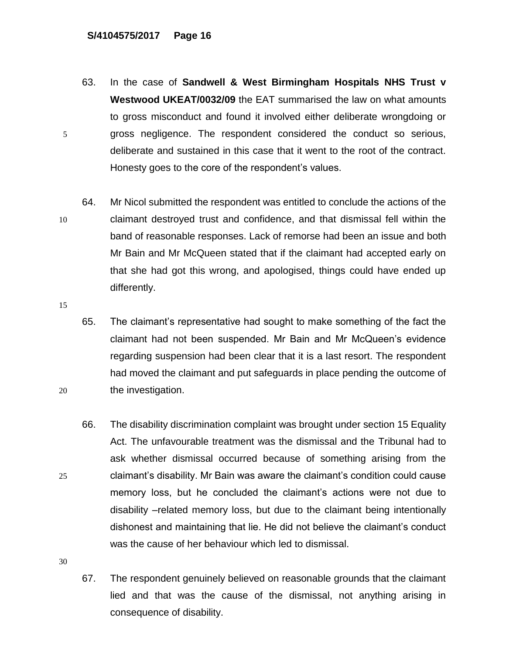- 63. In the case of **Sandwell & West Birmingham Hospitals NHS Trust v Westwood UKEAT/0032/09** the EAT summarised the law on what amounts to gross misconduct and found it involved either deliberate wrongdoing or 5 gross negligence. The respondent considered the conduct so serious, deliberate and sustained in this case that it went to the root of the contract. Honesty goes to the core of the respondent's values.
- 64. Mr Nicol submitted the respondent was entitled to conclude the actions of the 10 claimant destroyed trust and confidence, and that dismissal fell within the band of reasonable responses. Lack of remorse had been an issue and both Mr Bain and Mr McQueen stated that if the claimant had accepted early on that she had got this wrong, and apologised, things could have ended up differently.
- 15
- 65. The claimant's representative had sought to make something of the fact the claimant had not been suspended. Mr Bain and Mr McQueen's evidence regarding suspension had been clear that it is a last resort. The respondent had moved the claimant and put safeguards in place pending the outcome of 20 the investigation.
- 66. The disability discrimination complaint was brought under section 15 Equality Act. The unfavourable treatment was the dismissal and the Tribunal had to ask whether dismissal occurred because of something arising from the 25 claimant's disability. Mr Bain was aware the claimant's condition could cause memory loss, but he concluded the claimant's actions were not due to disability –related memory loss, but due to the claimant being intentionally dishonest and maintaining that lie. He did not believe the claimant's conduct was the cause of her behaviour which led to dismissal.

30

67. The respondent genuinely believed on reasonable grounds that the claimant lied and that was the cause of the dismissal, not anything arising in consequence of disability.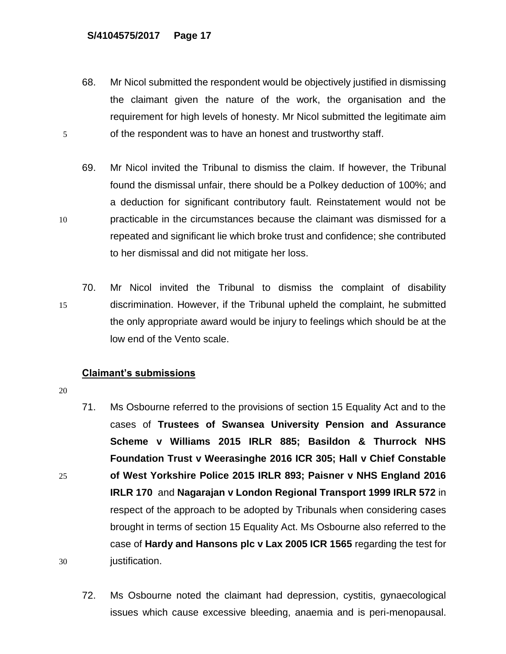68. Mr Nicol submitted the respondent would be objectively justified in dismissing the claimant given the nature of the work, the organisation and the requirement for high levels of honesty. Mr Nicol submitted the legitimate aim 5 of the respondent was to have an honest and trustworthy staff.

69. Mr Nicol invited the Tribunal to dismiss the claim. If however, the Tribunal found the dismissal unfair, there should be a Polkey deduction of 100%; and a deduction for significant contributory fault. Reinstatement would not be 10 practicable in the circumstances because the claimant was dismissed for a repeated and significant lie which broke trust and confidence; she contributed to her dismissal and did not mitigate her loss.

70. Mr Nicol invited the Tribunal to dismiss the complaint of disability 15 discrimination. However, if the Tribunal upheld the complaint, he submitted the only appropriate award would be injury to feelings which should be at the low end of the Vento scale.

# **Claimant's submissions**

- 71. Ms Osbourne referred to the provisions of section 15 Equality Act and to the cases of **Trustees of Swansea University Pension and Assurance Scheme v Williams 2015 IRLR 885; Basildon & Thurrock NHS Foundation Trust v Weerasinghe 2016 ICR 305; Hall v Chief Constable**  25 **of West Yorkshire Police 2015 IRLR 893; Paisner v NHS England 2016 IRLR 170** and **Nagarajan v London Regional Transport 1999 IRLR 572** in respect of the approach to be adopted by Tribunals when considering cases brought in terms of section 15 Equality Act. Ms Osbourne also referred to the case of **Hardy and Hansons plc v Lax 2005 ICR 1565** regarding the test for 30 justification.
	- 72. Ms Osbourne noted the claimant had depression, cystitis, gynaecological issues which cause excessive bleeding, anaemia and is peri-menopausal.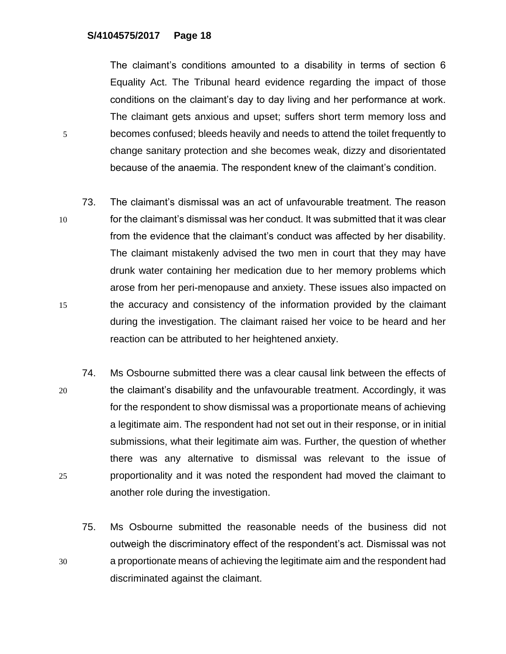The claimant's conditions amounted to a disability in terms of section 6 Equality Act. The Tribunal heard evidence regarding the impact of those conditions on the claimant's day to day living and her performance at work. The claimant gets anxious and upset; suffers short term memory loss and 5 becomes confused; bleeds heavily and needs to attend the toilet frequently to change sanitary protection and she becomes weak, dizzy and disorientated because of the anaemia. The respondent knew of the claimant's condition.

- 73. The claimant's dismissal was an act of unfavourable treatment. The reason 10 for the claimant's dismissal was her conduct. It was submitted that it was clear from the evidence that the claimant's conduct was affected by her disability. The claimant mistakenly advised the two men in court that they may have drunk water containing her medication due to her memory problems which arose from her peri-menopause and anxiety. These issues also impacted on 15 the accuracy and consistency of the information provided by the claimant during the investigation. The claimant raised her voice to be heard and her reaction can be attributed to her heightened anxiety.
- 74. Ms Osbourne submitted there was a clear causal link between the effects of 20 the claimant's disability and the unfavourable treatment. Accordingly, it was for the respondent to show dismissal was a proportionate means of achieving a legitimate aim. The respondent had not set out in their response, or in initial submissions, what their legitimate aim was. Further, the question of whether there was any alternative to dismissal was relevant to the issue of 25 proportionality and it was noted the respondent had moved the claimant to another role during the investigation.
- 75. Ms Osbourne submitted the reasonable needs of the business did not outweigh the discriminatory effect of the respondent's act. Dismissal was not 30 a proportionate means of achieving the legitimate aim and the respondent had discriminated against the claimant.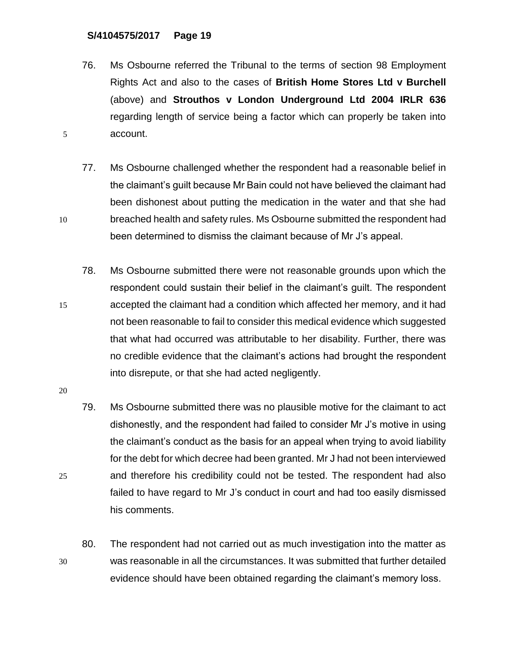- 76. Ms Osbourne referred the Tribunal to the terms of section 98 Employment Rights Act and also to the cases of **British Home Stores Ltd v Burchell**  (above) and **Strouthos v London Underground Ltd 2004 IRLR 636**  regarding length of service being a factor which can properly be taken into 5 account.
- 77. Ms Osbourne challenged whether the respondent had a reasonable belief in the claimant's guilt because Mr Bain could not have believed the claimant had been dishonest about putting the medication in the water and that she had 10 breached health and safety rules. Ms Osbourne submitted the respondent had been determined to dismiss the claimant because of Mr J's appeal.
- 78. Ms Osbourne submitted there were not reasonable grounds upon which the respondent could sustain their belief in the claimant's guilt. The respondent 15 accepted the claimant had a condition which affected her memory, and it had not been reasonable to fail to consider this medical evidence which suggested that what had occurred was attributable to her disability. Further, there was no credible evidence that the claimant's actions had brought the respondent into disrepute, or that she had acted negligently.

- 79. Ms Osbourne submitted there was no plausible motive for the claimant to act dishonestly, and the respondent had failed to consider Mr J's motive in using the claimant's conduct as the basis for an appeal when trying to avoid liability for the debt for which decree had been granted. Mr J had not been interviewed 25 and therefore his credibility could not be tested. The respondent had also failed to have regard to Mr J's conduct in court and had too easily dismissed his comments.
- 80. The respondent had not carried out as much investigation into the matter as 30 was reasonable in all the circumstances. It was submitted that further detailed evidence should have been obtained regarding the claimant's memory loss.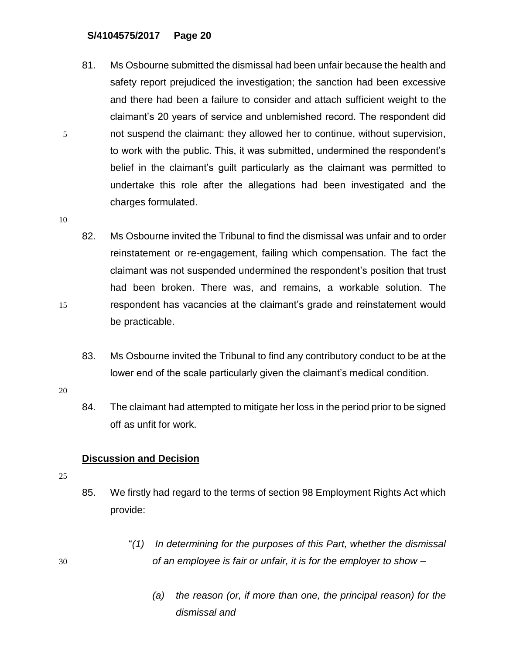- 81. Ms Osbourne submitted the dismissal had been unfair because the health and safety report prejudiced the investigation; the sanction had been excessive and there had been a failure to consider and attach sufficient weight to the claimant's 20 years of service and unblemished record. The respondent did 5 not suspend the claimant: they allowed her to continue, without supervision, to work with the public. This, it was submitted, undermined the respondent's belief in the claimant's guilt particularly as the claimant was permitted to undertake this role after the allegations had been investigated and the charges formulated.
- 10
- 82. Ms Osbourne invited the Tribunal to find the dismissal was unfair and to order reinstatement or re-engagement, failing which compensation. The fact the claimant was not suspended undermined the respondent's position that trust had been broken. There was, and remains, a workable solution. The 15 respondent has vacancies at the claimant's grade and reinstatement would be practicable.
	- 83. Ms Osbourne invited the Tribunal to find any contributory conduct to be at the lower end of the scale particularly given the claimant's medical condition.
- 20
- 84. The claimant had attempted to mitigate her loss in the period prior to be signed off as unfit for work.

# **Discussion and Decision**

- 25
- 85. We firstly had regard to the terms of section 98 Employment Rights Act which provide:
- "*(1) In determining for the purposes of this Part, whether the dismissal*  30 *of an employee is fair or unfair, it is for the employer to show –*
	- *(a) the reason (or, if more than one, the principal reason) for the dismissal and*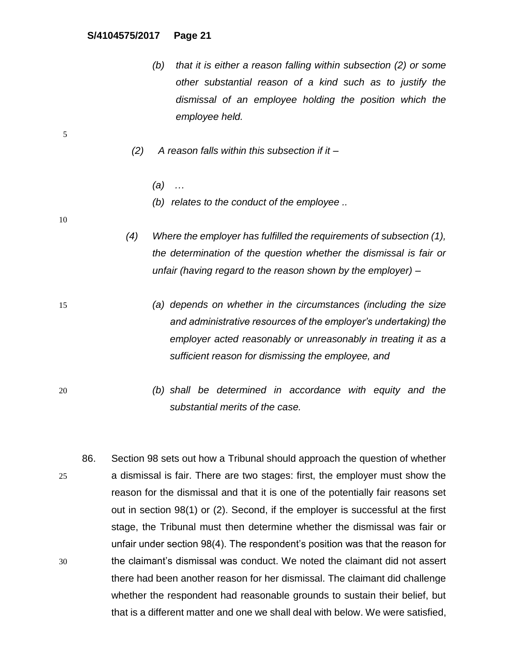- *(b) that it is either a reason falling within subsection (2) or some other substantial reason of a kind such as to justify the dismissal of an employee holding the position which the employee held.*
- *(2) A reason falls within this subsection if it –*
	- *(a) …*
	- *(b) relates to the conduct of the employee ..*

10

- *(4) Where the employer has fulfilled the requirements of subsection (1), the determination of the question whether the dismissal is fair or unfair (having regard to the reason shown by the employer) –*
- 15 *(a) depends on whether in the circumstances (including the size and administrative resources of the employer's undertaking) the employer acted reasonably or unreasonably in treating it as a sufficient reason for dismissing the employee, and*
- 20 *(b) shall be determined in accordance with equity and the substantial merits of the case.*
- 86. Section 98 sets out how a Tribunal should approach the question of whether 25 a dismissal is fair. There are two stages: first, the employer must show the reason for the dismissal and that it is one of the potentially fair reasons set out in section 98(1) or (2). Second, if the employer is successful at the first stage, the Tribunal must then determine whether the dismissal was fair or unfair under section 98(4). The respondent's position was that the reason for 30 the claimant's dismissal was conduct. We noted the claimant did not assert there had been another reason for her dismissal. The claimant did challenge whether the respondent had reasonable grounds to sustain their belief, but that is a different matter and one we shall deal with below. We were satisfied,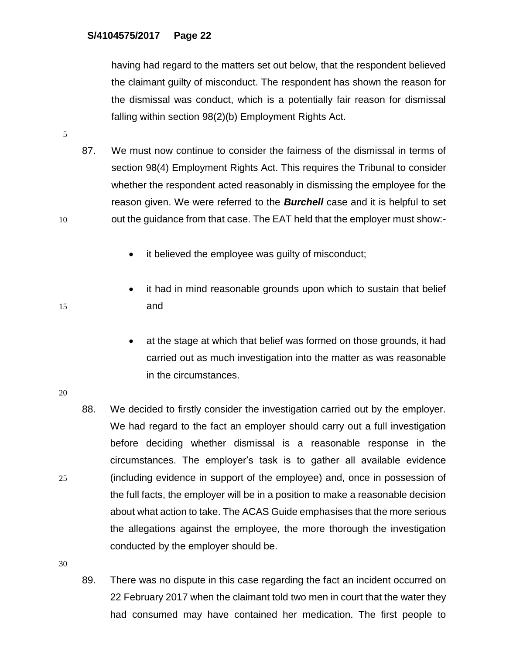having had regard to the matters set out below, that the respondent believed the claimant guilty of misconduct. The respondent has shown the reason for the dismissal was conduct, which is a potentially fair reason for dismissal falling within section 98(2)(b) Employment Rights Act.

- 87. We must now continue to consider the fairness of the dismissal in terms of section 98(4) Employment Rights Act. This requires the Tribunal to consider whether the respondent acted reasonably in dismissing the employee for the reason given. We were referred to the *Burchell* case and it is helpful to set 10 out the quidance from that case. The EAT held that the employer must show:-
	- it believed the employee was guilty of misconduct;
- it had in mind reasonable grounds upon which to sustain that belief 15 and
	- at the stage at which that belief was formed on those grounds, it had carried out as much investigation into the matter as was reasonable in the circumstances.
- 20
- 88. We decided to firstly consider the investigation carried out by the employer. We had regard to the fact an employer should carry out a full investigation before deciding whether dismissal is a reasonable response in the circumstances. The employer's task is to gather all available evidence 25 (including evidence in support of the employee) and, once in possession of the full facts, the employer will be in a position to make a reasonable decision about what action to take. The ACAS Guide emphasises that the more serious the allegations against the employee, the more thorough the investigation conducted by the employer should be.

30

89. There was no dispute in this case regarding the fact an incident occurred on 22 February 2017 when the claimant told two men in court that the water they had consumed may have contained her medication. The first people to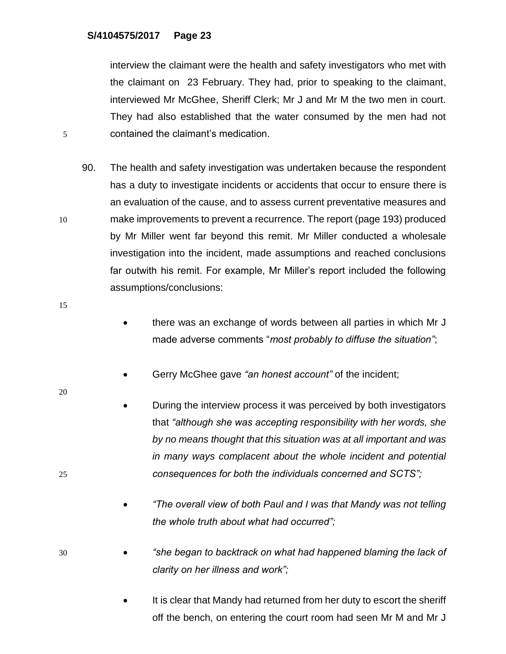interview the claimant were the health and safety investigators who met with the claimant on 23 February. They had, prior to speaking to the claimant, interviewed Mr McGhee, Sheriff Clerk; Mr J and Mr M the two men in court. They had also established that the water consumed by the men had not 5 contained the claimant's medication.

- 90. The health and safety investigation was undertaken because the respondent has a duty to investigate incidents or accidents that occur to ensure there is an evaluation of the cause, and to assess current preventative measures and 10 make improvements to prevent a recurrence. The report (page 193) produced by Mr Miller went far beyond this remit. Mr Miller conducted a wholesale investigation into the incident, made assumptions and reached conclusions far outwith his remit. For example, Mr Miller's report included the following assumptions/conclusions:
- 15
- there was an exchange of words between all parties in which Mr J made adverse comments "*most probably to diffuse the situation"*;
- Gerry McGhee gave *"an honest account"* of the incident;
- During the interview process it was perceived by both investigators that *"although she was accepting responsibility with her words, she by no means thought that this situation was at all important and was in many ways complacent about the whole incident and potential*  25 *consequences for both the individuals concerned and SCTS";*
	- *"The overall view of both Paul and I was that Mandy was not telling the whole truth about what had occurred";*
- 30 *"she began to backtrack on what had happened blaming the lack of clarity on her illness and work";*
	- It is clear that Mandy had returned from her duty to escort the sheriff off the bench, on entering the court room had seen Mr M and Mr J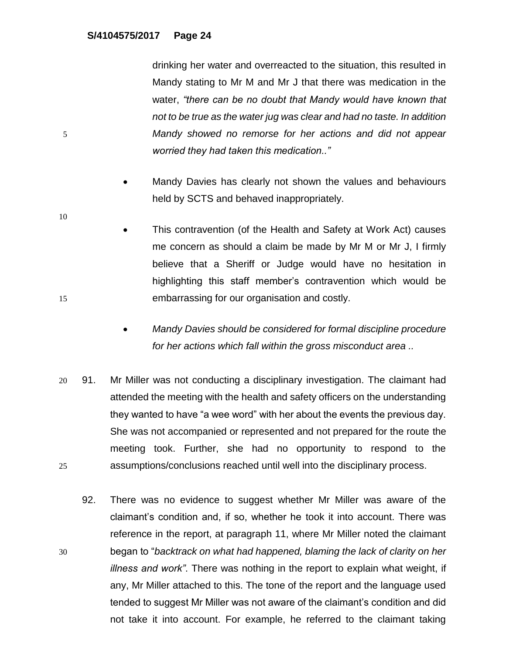drinking her water and overreacted to the situation, this resulted in Mandy stating to Mr M and Mr J that there was medication in the water, *"there can be no doubt that Mandy would have known that not to be true as the water jug was clear and had no taste. In addition*  5 *Mandy showed no remorse for her actions and did not appear worried they had taken this medication.."*

- Mandy Davies has clearly not shown the values and behaviours held by SCTS and behaved inappropriately.
- This contravention (of the Health and Safety at Work Act) causes me concern as should a claim be made by Mr M or Mr J, I firmly believe that a Sheriff or Judge would have no hesitation in highlighting this staff member's contravention which would be 15 embarrassing for our organisation and costly.
	- *Mandy Davies should be considered for formal discipline procedure for her actions which fall within the gross misconduct area ..*
- 20 91. Mr Miller was not conducting a disciplinary investigation. The claimant had attended the meeting with the health and safety officers on the understanding they wanted to have "a wee word" with her about the events the previous day. She was not accompanied or represented and not prepared for the route the meeting took. Further, she had no opportunity to respond to the 25 assumptions/conclusions reached until well into the disciplinary process.
- 92. There was no evidence to suggest whether Mr Miller was aware of the claimant's condition and, if so, whether he took it into account. There was reference in the report, at paragraph 11, where Mr Miller noted the claimant 30 began to "*backtrack on what had happened, blaming the lack of clarity on her illness and work"*. There was nothing in the report to explain what weight, if any, Mr Miller attached to this. The tone of the report and the language used tended to suggest Mr Miller was not aware of the claimant's condition and did not take it into account. For example, he referred to the claimant taking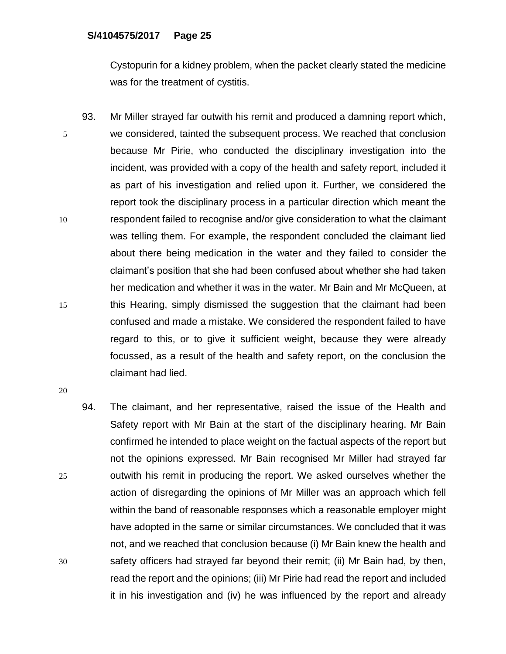Cystopurin for a kidney problem, when the packet clearly stated the medicine was for the treatment of cystitis.

93. Mr Miller strayed far outwith his remit and produced a damning report which, 5 we considered, tainted the subsequent process. We reached that conclusion because Mr Pirie, who conducted the disciplinary investigation into the incident, was provided with a copy of the health and safety report, included it as part of his investigation and relied upon it. Further, we considered the report took the disciplinary process in a particular direction which meant the 10 respondent failed to recognise and/or give consideration to what the claimant was telling them. For example, the respondent concluded the claimant lied about there being medication in the water and they failed to consider the claimant's position that she had been confused about whether she had taken her medication and whether it was in the water. Mr Bain and Mr McQueen, at 15 this Hearing, simply dismissed the suggestion that the claimant had been confused and made a mistake. We considered the respondent failed to have regard to this, or to give it sufficient weight, because they were already focussed, as a result of the health and safety report, on the conclusion the claimant had lied.

20

94. The claimant, and her representative, raised the issue of the Health and Safety report with Mr Bain at the start of the disciplinary hearing. Mr Bain confirmed he intended to place weight on the factual aspects of the report but not the opinions expressed. Mr Bain recognised Mr Miller had strayed far 25 outwith his remit in producing the report. We asked ourselves whether the action of disregarding the opinions of Mr Miller was an approach which fell within the band of reasonable responses which a reasonable employer might have adopted in the same or similar circumstances. We concluded that it was not, and we reached that conclusion because (i) Mr Bain knew the health and 30 safety officers had strayed far beyond their remit; (ii) Mr Bain had, by then, read the report and the opinions; (iii) Mr Pirie had read the report and included it in his investigation and (iv) he was influenced by the report and already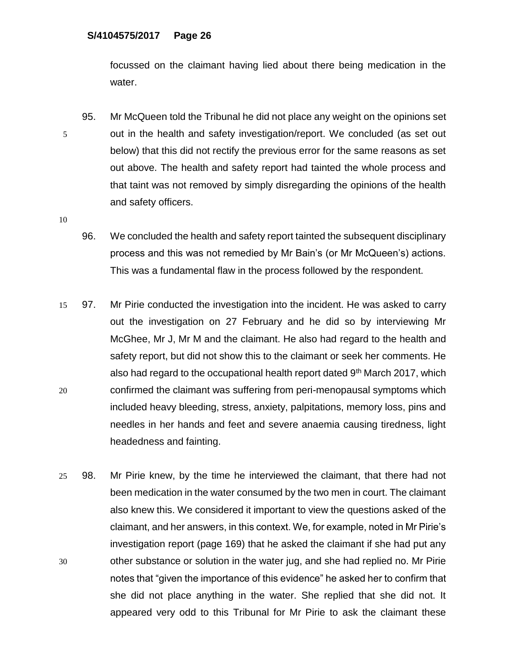focussed on the claimant having lied about there being medication in the water.

95. Mr McQueen told the Tribunal he did not place any weight on the opinions set 5 out in the health and safety investigation/report. We concluded (as set out below) that this did not rectify the previous error for the same reasons as set out above. The health and safety report had tainted the whole process and that taint was not removed by simply disregarding the opinions of the health and safety officers.

- 96. We concluded the health and safety report tainted the subsequent disciplinary process and this was not remedied by Mr Bain's (or Mr McQueen's) actions. This was a fundamental flaw in the process followed by the respondent.
- 15 97. Mr Pirie conducted the investigation into the incident. He was asked to carry out the investigation on 27 February and he did so by interviewing Mr McGhee, Mr J, Mr M and the claimant. He also had regard to the health and safety report, but did not show this to the claimant or seek her comments. He also had regard to the occupational health report dated 9<sup>th</sup> March 2017, which 20 confirmed the claimant was suffering from peri-menopausal symptoms which included heavy bleeding, stress, anxiety, palpitations, memory loss, pins and needles in her hands and feet and severe anaemia causing tiredness, light headedness and fainting.
- 25 98. Mr Pirie knew, by the time he interviewed the claimant, that there had not been medication in the water consumed by the two men in court. The claimant also knew this. We considered it important to view the questions asked of the claimant, and her answers, in this context. We, for example, noted in Mr Pirie's investigation report (page 169) that he asked the claimant if she had put any 30 other substance or solution in the water jug, and she had replied no. Mr Pirie notes that "given the importance of this evidence" he asked her to confirm that she did not place anything in the water. She replied that she did not. It appeared very odd to this Tribunal for Mr Pirie to ask the claimant these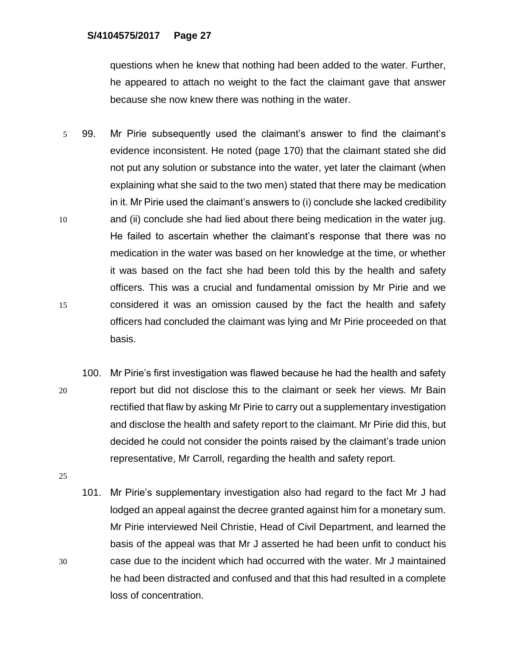questions when he knew that nothing had been added to the water. Further, he appeared to attach no weight to the fact the claimant gave that answer because she now knew there was nothing in the water.

- 5 99. Mr Pirie subsequently used the claimant's answer to find the claimant's evidence inconsistent. He noted (page 170) that the claimant stated she did not put any solution or substance into the water, yet later the claimant (when explaining what she said to the two men) stated that there may be medication in it. Mr Pirie used the claimant's answers to (i) conclude she lacked credibility 10 and (ii) conclude she had lied about there being medication in the water jug. He failed to ascertain whether the claimant's response that there was no medication in the water was based on her knowledge at the time, or whether it was based on the fact she had been told this by the health and safety officers. This was a crucial and fundamental omission by Mr Pirie and we 15 considered it was an omission caused by the fact the health and safety officers had concluded the claimant was lying and Mr Pirie proceeded on that basis.
- 100. Mr Pirie's first investigation was flawed because he had the health and safety 20 report but did not disclose this to the claimant or seek her views. Mr Bain rectified that flaw by asking Mr Pirie to carry out a supplementary investigation and disclose the health and safety report to the claimant. Mr Pirie did this, but decided he could not consider the points raised by the claimant's trade union representative, Mr Carroll, regarding the health and safety report.

25

101. Mr Pirie's supplementary investigation also had regard to the fact Mr J had lodged an appeal against the decree granted against him for a monetary sum. Mr Pirie interviewed Neil Christie, Head of Civil Department, and learned the basis of the appeal was that Mr J asserted he had been unfit to conduct his 30 case due to the incident which had occurred with the water. Mr J maintained he had been distracted and confused and that this had resulted in a complete loss of concentration.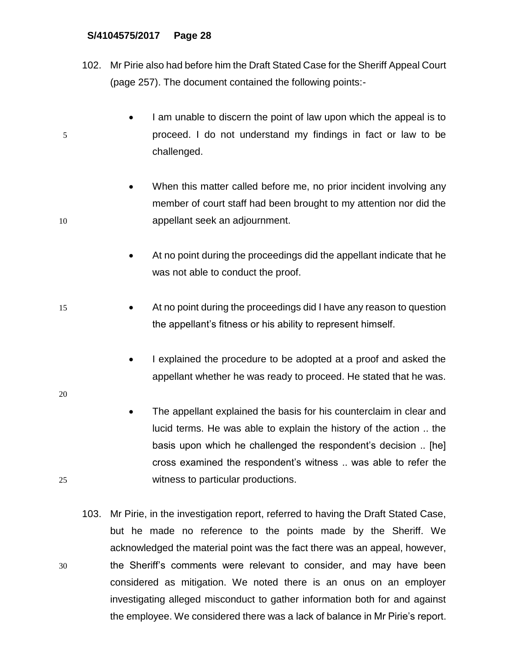- 102. Mr Pirie also had before him the Draft Stated Case for the Sheriff Appeal Court (page 257). The document contained the following points:-
- I am unable to discern the point of law upon which the appeal is to 5 proceed. I do not understand my findings in fact or law to be challenged.
- When this matter called before me, no prior incident involving any member of court staff had been brought to my attention nor did the 10 appellant seek an adjournment.
	- At no point during the proceedings did the appellant indicate that he was not able to conduct the proof.
- 15 At no point during the proceedings did I have any reason to question the appellant's fitness or his ability to represent himself.
	- I explained the procedure to be adopted at a proof and asked the appellant whether he was ready to proceed. He stated that he was.
- 20
- The appellant explained the basis for his counterclaim in clear and lucid terms. He was able to explain the history of the action .. the basis upon which he challenged the respondent's decision .. [he] cross examined the respondent's witness .. was able to refer the 25 witness to particular productions.
- 103. Mr Pirie, in the investigation report, referred to having the Draft Stated Case, but he made no reference to the points made by the Sheriff. We acknowledged the material point was the fact there was an appeal, however, 30 the Sheriff's comments were relevant to consider, and may have been considered as mitigation. We noted there is an onus on an employer investigating alleged misconduct to gather information both for and against the employee. We considered there was a lack of balance in Mr Pirie's report.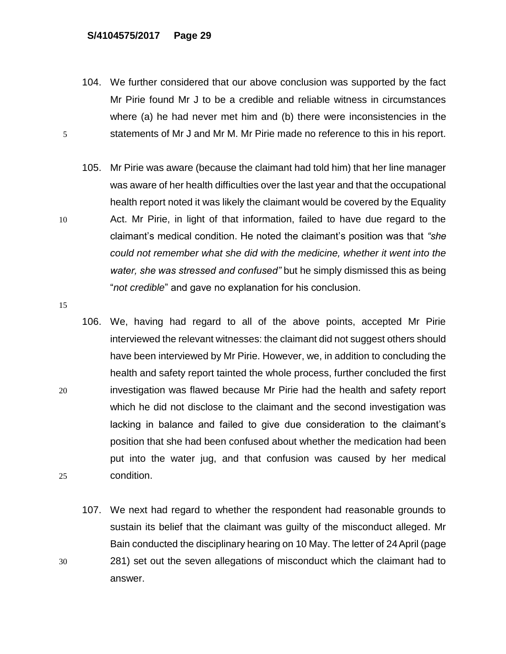- 104. We further considered that our above conclusion was supported by the fact Mr Pirie found Mr J to be a credible and reliable witness in circumstances where (a) he had never met him and (b) there were inconsistencies in the 5 statements of Mr J and Mr M. Mr Pirie made no reference to this in his report.
- 105. Mr Pirie was aware (because the claimant had told him) that her line manager was aware of her health difficulties over the last year and that the occupational health report noted it was likely the claimant would be covered by the Equality 10 Act. Mr Pirie, in light of that information, failed to have due regard to the claimant's medical condition. He noted the claimant's position was that *"she could not remember what she did with the medicine, whether it went into the water, she was stressed and confused"* but he simply dismissed this as being "*not credible*" and gave no explanation for his conclusion.
- 15
- 106. We, having had regard to all of the above points, accepted Mr Pirie interviewed the relevant witnesses: the claimant did not suggest others should have been interviewed by Mr Pirie. However, we, in addition to concluding the health and safety report tainted the whole process, further concluded the first 20 investigation was flawed because Mr Pirie had the health and safety report which he did not disclose to the claimant and the second investigation was lacking in balance and failed to give due consideration to the claimant's position that she had been confused about whether the medication had been put into the water jug, and that confusion was caused by her medical 25 condition.
- 107. We next had regard to whether the respondent had reasonable grounds to sustain its belief that the claimant was guilty of the misconduct alleged. Mr Bain conducted the disciplinary hearing on 10 May. The letter of 24April (page 30 281) set out the seven allegations of misconduct which the claimant had to answer.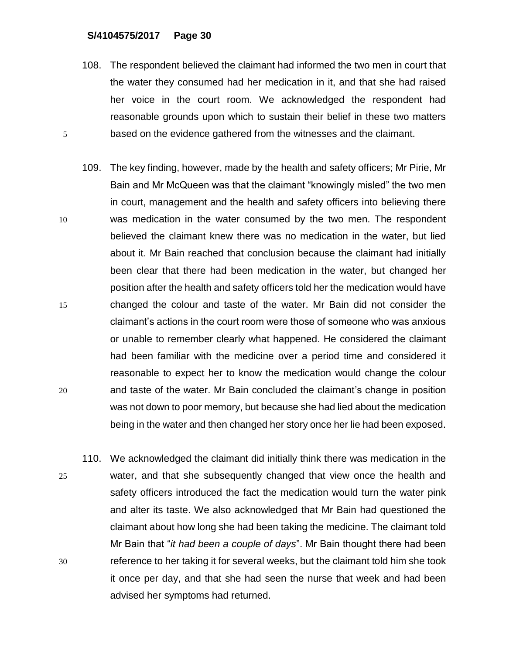- 108. The respondent believed the claimant had informed the two men in court that the water they consumed had her medication in it, and that she had raised her voice in the court room. We acknowledged the respondent had reasonable grounds upon which to sustain their belief in these two matters 5 based on the evidence gathered from the witnesses and the claimant.
- 109. The key finding, however, made by the health and safety officers; Mr Pirie, Mr Bain and Mr McQueen was that the claimant "knowingly misled" the two men in court, management and the health and safety officers into believing there 10 was medication in the water consumed by the two men. The respondent believed the claimant knew there was no medication in the water, but lied about it. Mr Bain reached that conclusion because the claimant had initially been clear that there had been medication in the water, but changed her position after the health and safety officers told her the medication would have 15 changed the colour and taste of the water. Mr Bain did not consider the claimant's actions in the court room were those of someone who was anxious or unable to remember clearly what happened. He considered the claimant had been familiar with the medicine over a period time and considered it reasonable to expect her to know the medication would change the colour 20 and taste of the water. Mr Bain concluded the claimant's change in position was not down to poor memory, but because she had lied about the medication being in the water and then changed her story once her lie had been exposed.
- 110. We acknowledged the claimant did initially think there was medication in the 25 water, and that she subsequently changed that view once the health and safety officers introduced the fact the medication would turn the water pink and alter its taste. We also acknowledged that Mr Bain had questioned the claimant about how long she had been taking the medicine. The claimant told Mr Bain that "*it had been a couple of days*". Mr Bain thought there had been 30 reference to her taking it for several weeks, but the claimant told him she took it once per day, and that she had seen the nurse that week and had been advised her symptoms had returned.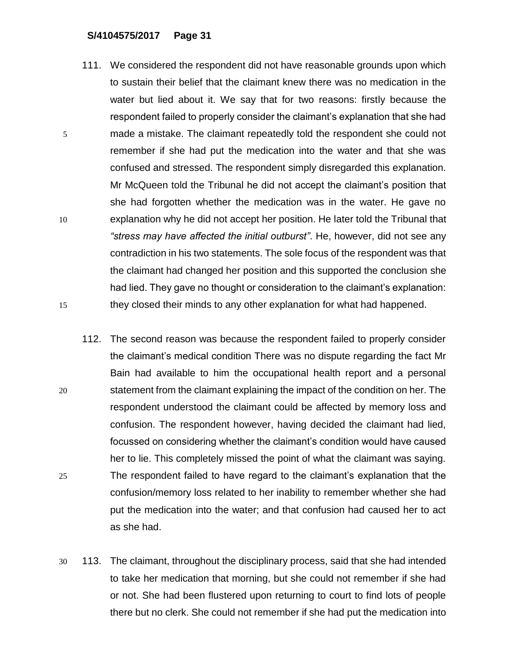- 111. We considered the respondent did not have reasonable grounds upon which to sustain their belief that the claimant knew there was no medication in the water but lied about it. We say that for two reasons: firstly because the respondent failed to properly consider the claimant's explanation that she had 5 made a mistake. The claimant repeatedly told the respondent she could not remember if she had put the medication into the water and that she was confused and stressed. The respondent simply disregarded this explanation. Mr McQueen told the Tribunal he did not accept the claimant's position that she had forgotten whether the medication was in the water. He gave no 10 explanation why he did not accept her position. He later told the Tribunal that *"stress may have affected the initial outburst"*. He, however, did not see any contradiction in his two statements. The sole focus of the respondent was that the claimant had changed her position and this supported the conclusion she had lied. They gave no thought or consideration to the claimant's explanation: 15 they closed their minds to any other explanation for what had happened.
- 112. The second reason was because the respondent failed to properly consider the claimant's medical condition There was no dispute regarding the fact Mr Bain had available to him the occupational health report and a personal 20 statement from the claimant explaining the impact of the condition on her. The respondent understood the claimant could be affected by memory loss and confusion. The respondent however, having decided the claimant had lied, focussed on considering whether the claimant's condition would have caused her to lie. This completely missed the point of what the claimant was saying. 25 The respondent failed to have regard to the claimant's explanation that the confusion/memory loss related to her inability to remember whether she had put the medication into the water; and that confusion had caused her to act as she had.
- 30 113. The claimant, throughout the disciplinary process, said that she had intended to take her medication that morning, but she could not remember if she had or not. She had been flustered upon returning to court to find lots of people there but no clerk. She could not remember if she had put the medication into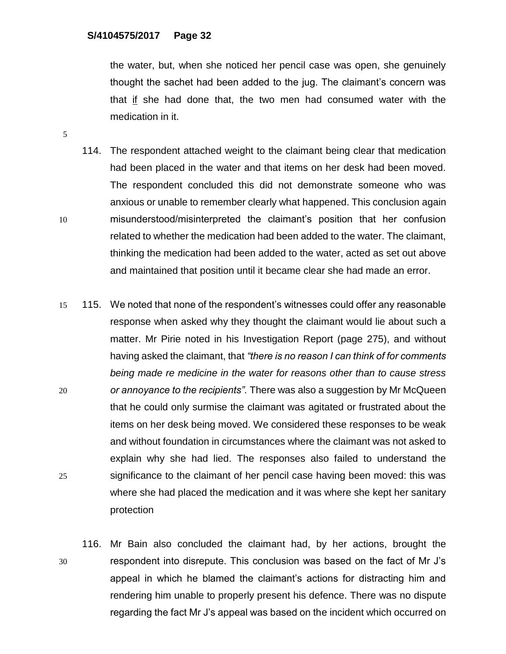the water, but, when she noticed her pencil case was open, she genuinely thought the sachet had been added to the jug. The claimant's concern was that if she had done that, the two men had consumed water with the medication in it.

- 114. The respondent attached weight to the claimant being clear that medication had been placed in the water and that items on her desk had been moved. The respondent concluded this did not demonstrate someone who was anxious or unable to remember clearly what happened. This conclusion again 10 misunderstood/misinterpreted the claimant's position that her confusion related to whether the medication had been added to the water. The claimant, thinking the medication had been added to the water, acted as set out above and maintained that position until it became clear she had made an error.
- 15 115. We noted that none of the respondent's witnesses could offer any reasonable response when asked why they thought the claimant would lie about such a matter. Mr Pirie noted in his Investigation Report (page 275), and without having asked the claimant, that *"there is no reason I can think of for comments being made re medicine in the water for reasons other than to cause stress*  20 *or annoyance to the recipients".* There was also a suggestion by Mr McQueen that he could only surmise the claimant was agitated or frustrated about the items on her desk being moved. We considered these responses to be weak and without foundation in circumstances where the claimant was not asked to explain why she had lied. The responses also failed to understand the 25 significance to the claimant of her pencil case having been moved: this was where she had placed the medication and it was where she kept her sanitary protection
- 116. Mr Bain also concluded the claimant had, by her actions, brought the 30 respondent into disrepute. This conclusion was based on the fact of Mr J's appeal in which he blamed the claimant's actions for distracting him and rendering him unable to properly present his defence. There was no dispute regarding the fact Mr J's appeal was based on the incident which occurred on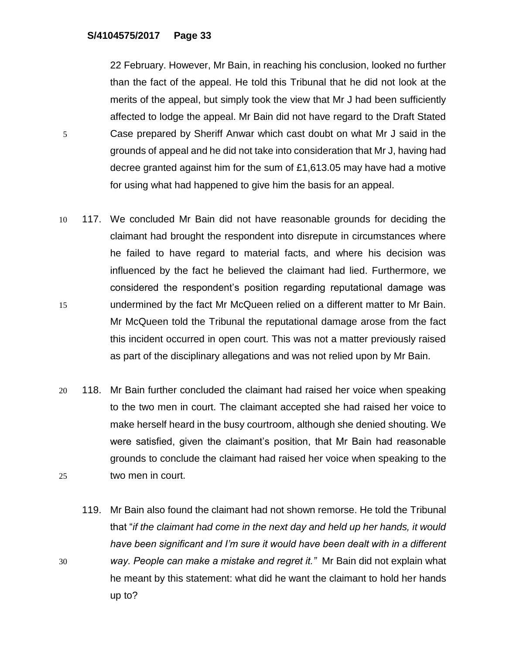22 February. However, Mr Bain, in reaching his conclusion, looked no further than the fact of the appeal. He told this Tribunal that he did not look at the merits of the appeal, but simply took the view that Mr J had been sufficiently affected to lodge the appeal. Mr Bain did not have regard to the Draft Stated 5 Case prepared by Sheriff Anwar which cast doubt on what Mr J said in the grounds of appeal and he did not take into consideration that Mr J, having had decree granted against him for the sum of £1,613.05 may have had a motive for using what had happened to give him the basis for an appeal.

- 10 117. We concluded Mr Bain did not have reasonable grounds for deciding the claimant had brought the respondent into disrepute in circumstances where he failed to have regard to material facts, and where his decision was influenced by the fact he believed the claimant had lied. Furthermore, we considered the respondent's position regarding reputational damage was 15 undermined by the fact Mr McQueen relied on a different matter to Mr Bain. Mr McQueen told the Tribunal the reputational damage arose from the fact this incident occurred in open court. This was not a matter previously raised as part of the disciplinary allegations and was not relied upon by Mr Bain.
- 20 118. Mr Bain further concluded the claimant had raised her voice when speaking to the two men in court. The claimant accepted she had raised her voice to make herself heard in the busy courtroom, although she denied shouting. We were satisfied, given the claimant's position, that Mr Bain had reasonable grounds to conclude the claimant had raised her voice when speaking to the 25 two men in court.
- 119. Mr Bain also found the claimant had not shown remorse. He told the Tribunal that "*if the claimant had come in the next day and held up her hands, it would have been significant and I'm sure it would have been dealt with in a different*  30 *way. People can make a mistake and regret it."* Mr Bain did not explain what he meant by this statement: what did he want the claimant to hold her hands up to?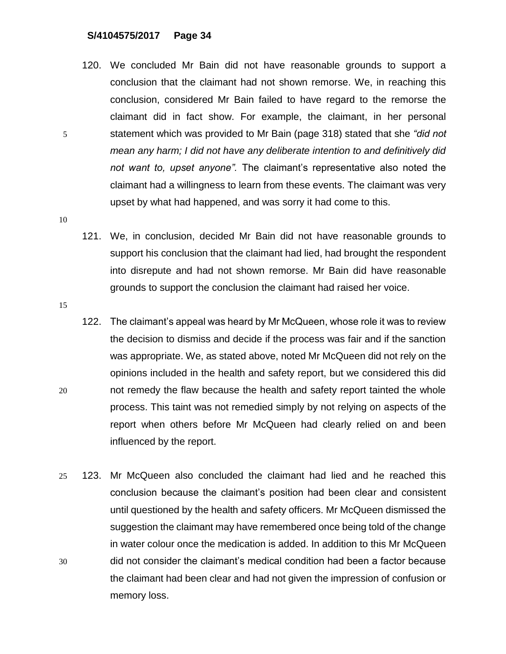120. We concluded Mr Bain did not have reasonable grounds to support a conclusion that the claimant had not shown remorse. We, in reaching this conclusion, considered Mr Bain failed to have regard to the remorse the claimant did in fact show. For example, the claimant, in her personal 5 statement which was provided to Mr Bain (page 318) stated that she *"did not mean any harm; I did not have any deliberate intention to and definitively did not want to, upset anyone".* The claimant's representative also noted the claimant had a willingness to learn from these events. The claimant was very upset by what had happened, and was sorry it had come to this.

- 121. We, in conclusion, decided Mr Bain did not have reasonable grounds to support his conclusion that the claimant had lied, had brought the respondent into disrepute and had not shown remorse. Mr Bain did have reasonable grounds to support the conclusion the claimant had raised her voice.
- 15
- 122. The claimant's appeal was heard by Mr McQueen, whose role it was to review the decision to dismiss and decide if the process was fair and if the sanction was appropriate. We, as stated above, noted Mr McQueen did not rely on the opinions included in the health and safety report, but we considered this did 20 not remedy the flaw because the health and safety report tainted the whole process. This taint was not remedied simply by not relying on aspects of the report when others before Mr McQueen had clearly relied on and been influenced by the report.
- 25 123. Mr McQueen also concluded the claimant had lied and he reached this conclusion because the claimant's position had been clear and consistent until questioned by the health and safety officers. Mr McQueen dismissed the suggestion the claimant may have remembered once being told of the change in water colour once the medication is added. In addition to this Mr McQueen 30 did not consider the claimant's medical condition had been a factor because the claimant had been clear and had not given the impression of confusion or memory loss.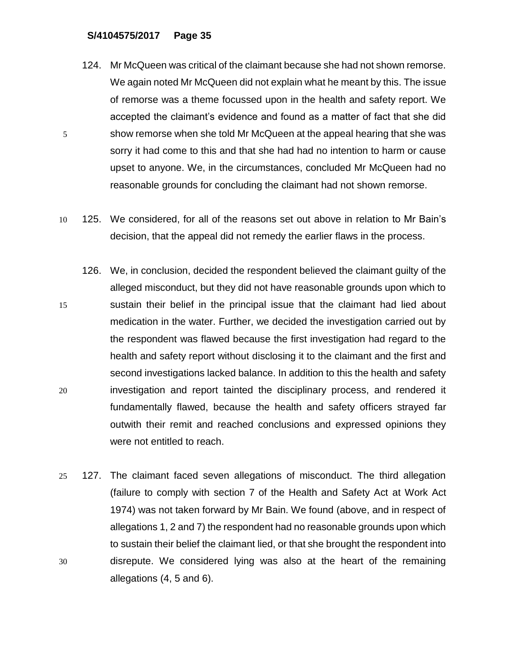- 124. Mr McQueen was critical of the claimant because she had not shown remorse. We again noted Mr McQueen did not explain what he meant by this. The issue of remorse was a theme focussed upon in the health and safety report. We accepted the claimant's evidence and found as a matter of fact that she did 5 show remorse when she told Mr McQueen at the appeal hearing that she was sorry it had come to this and that she had had no intention to harm or cause upset to anyone. We, in the circumstances, concluded Mr McQueen had no reasonable grounds for concluding the claimant had not shown remorse.
- 10 125. We considered, for all of the reasons set out above in relation to Mr Bain's decision, that the appeal did not remedy the earlier flaws in the process.
- 126. We, in conclusion, decided the respondent believed the claimant guilty of the alleged misconduct, but they did not have reasonable grounds upon which to 15 sustain their belief in the principal issue that the claimant had lied about medication in the water. Further, we decided the investigation carried out by the respondent was flawed because the first investigation had regard to the health and safety report without disclosing it to the claimant and the first and second investigations lacked balance. In addition to this the health and safety 20 investigation and report tainted the disciplinary process, and rendered it fundamentally flawed, because the health and safety officers strayed far outwith their remit and reached conclusions and expressed opinions they were not entitled to reach.
- 25 127. The claimant faced seven allegations of misconduct. The third allegation (failure to comply with section 7 of the Health and Safety Act at Work Act 1974) was not taken forward by Mr Bain. We found (above, and in respect of allegations 1, 2 and 7) the respondent had no reasonable grounds upon which to sustain their belief the claimant lied, or that she brought the respondent into 30 disrepute. We considered lying was also at the heart of the remaining allegations (4, 5 and 6).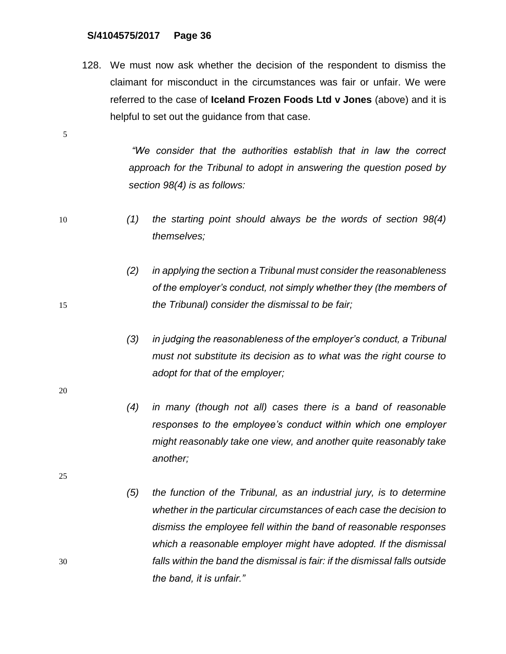128. We must now ask whether the decision of the respondent to dismiss the claimant for misconduct in the circumstances was fair or unfair. We were referred to the case of **Iceland Frozen Foods Ltd v Jones** (above) and it is helpful to set out the guidance from that case.

> *"We consider that the authorities establish that in law the correct approach for the Tribunal to adopt in answering the question posed by section 98(4) is as follows:*

- 10 *(1) the starting point should always be the words of section 98(4) themselves;*
- *(2) in applying the section a Tribunal must consider the reasonableness of the employer's conduct, not simply whether they (the members of*  15 *the Tribunal) consider the dismissal to be fair;*
	- *(3) in judging the reasonableness of the employer's conduct, a Tribunal must not substitute its decision as to what was the right course to adopt for that of the employer;*
	- *(4) in many (though not all) cases there is a band of reasonable responses to the employee's conduct within which one employer might reasonably take one view, and another quite reasonably take another;*
- *(5) the function of the Tribunal, as an industrial jury, is to determine whether in the particular circumstances of each case the decision to dismiss the employee fell within the band of reasonable responses which a reasonable employer might have adopted. If the dismissal*  30 *falls within the band the dismissal is fair: if the dismissal falls outside the band, it is unfair."*

20

5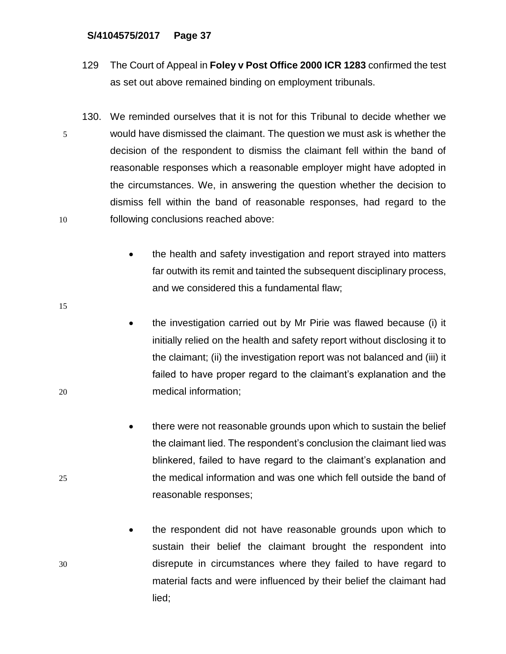- 129 The Court of Appeal in **Foley v Post Office 2000 ICR 1283** confirmed the test as set out above remained binding on employment tribunals.
- 130. We reminded ourselves that it is not for this Tribunal to decide whether we 5 would have dismissed the claimant. The question we must ask is whether the decision of the respondent to dismiss the claimant fell within the band of reasonable responses which a reasonable employer might have adopted in the circumstances. We, in answering the question whether the decision to dismiss fell within the band of reasonable responses, had regard to the 10 following conclusions reached above:
	- the health and safety investigation and report strayed into matters far outwith its remit and tainted the subsequent disciplinary process, and we considered this a fundamental flaw;
- the investigation carried out by Mr Pirie was flawed because (i) it initially relied on the health and safety report without disclosing it to the claimant; (ii) the investigation report was not balanced and (iii) it failed to have proper regard to the claimant's explanation and the 20 medical information;
- there were not reasonable grounds upon which to sustain the belief the claimant lied. The respondent's conclusion the claimant lied was blinkered, failed to have regard to the claimant's explanation and 25 the medical information and was one which fell outside the band of reasonable responses;
- the respondent did not have reasonable grounds upon which to sustain their belief the claimant brought the respondent into 30 disrepute in circumstances where they failed to have regard to material facts and were influenced by their belief the claimant had lied;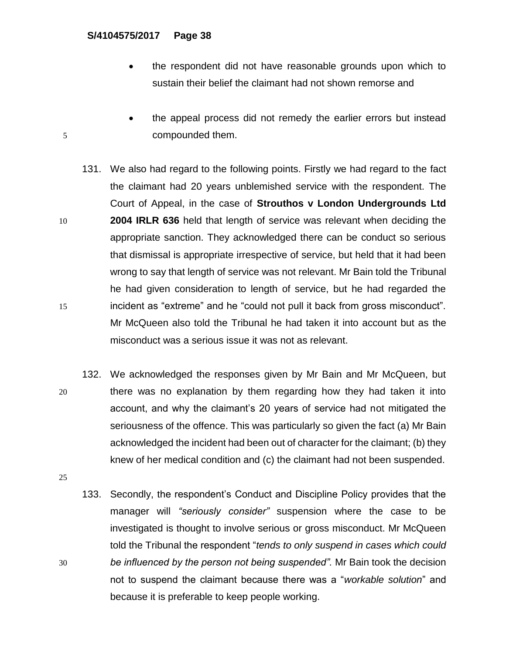- the respondent did not have reasonable grounds upon which to sustain their belief the claimant had not shown remorse and
- the appeal process did not remedy the earlier errors but instead 5 compounded them.
- 131. We also had regard to the following points. Firstly we had regard to the fact the claimant had 20 years unblemished service with the respondent. The Court of Appeal, in the case of **Strouthos v London Undergrounds Ltd**  10 **2004 IRLR 636** held that length of service was relevant when deciding the appropriate sanction. They acknowledged there can be conduct so serious that dismissal is appropriate irrespective of service, but held that it had been wrong to say that length of service was not relevant. Mr Bain told the Tribunal he had given consideration to length of service, but he had regarded the 15 incident as "extreme" and he "could not pull it back from gross misconduct". Mr McQueen also told the Tribunal he had taken it into account but as the misconduct was a serious issue it was not as relevant.
- 132. We acknowledged the responses given by Mr Bain and Mr McQueen, but 20 there was no explanation by them regarding how they had taken it into account, and why the claimant's 20 years of service had not mitigated the seriousness of the offence. This was particularly so given the fact (a) Mr Bain acknowledged the incident had been out of character for the claimant; (b) they knew of her medical condition and (c) the claimant had not been suspended.
- 25
- 133. Secondly, the respondent's Conduct and Discipline Policy provides that the manager will *"seriously consider"* suspension where the case to be investigated is thought to involve serious or gross misconduct. Mr McQueen told the Tribunal the respondent "*tends to only suspend in cases which could*  30 *be influenced by the person not being suspended".* Mr Bain took the decision not to suspend the claimant because there was a "*workable solution*" and because it is preferable to keep people working.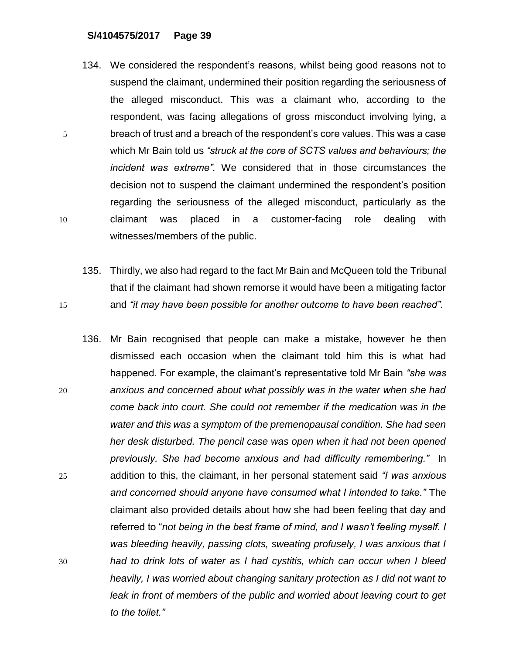- 134. We considered the respondent's reasons, whilst being good reasons not to suspend the claimant, undermined their position regarding the seriousness of the alleged misconduct. This was a claimant who, according to the respondent, was facing allegations of gross misconduct involving lying, a 5 breach of trust and a breach of the respondent's core values. This was a case which Mr Bain told us *"struck at the core of SCTS values and behaviours; the incident was extreme".* We considered that in those circumstances the decision not to suspend the claimant undermined the respondent's position regarding the seriousness of the alleged misconduct, particularly as the 10 claimant was placed in a customer-facing role dealing with witnesses/members of the public.
- 135. Thirdly, we also had regard to the fact Mr Bain and McQueen told the Tribunal that if the claimant had shown remorse it would have been a mitigating factor 15 and *"it may have been possible for another outcome to have been reached".*
- 136. Mr Bain recognised that people can make a mistake, however he then dismissed each occasion when the claimant told him this is what had happened. For example, the claimant's representative told Mr Bain *"she was*  20 *anxious and concerned about what possibly was in the water when she had come back into court. She could not remember if the medication was in the water and this was a symptom of the premenopausal condition. She had seen her desk disturbed. The pencil case was open when it had not been opened previously. She had become anxious and had difficulty remembering."* In 25 addition to this, the claimant, in her personal statement said *"I was anxious and concerned should anyone have consumed what I intended to take."* The claimant also provided details about how she had been feeling that day and referred to "*not being in the best frame of mind, and I wasn't feeling myself. I was bleeding heavily, passing clots, sweating profusely, I was anxious that I*  30 *had to drink lots of water as I had cystitis, which can occur when I bleed heavily, I was worried about changing sanitary protection as I did not want to*  leak in front of members of the public and worried about leaving court to get *to the toilet."*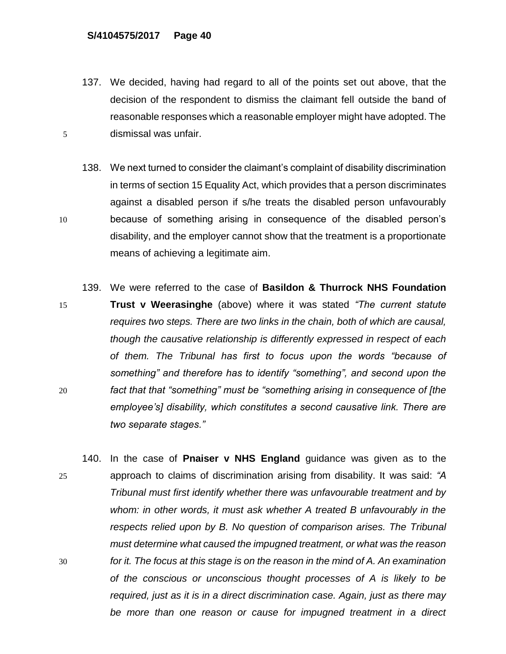137. We decided, having had regard to all of the points set out above, that the decision of the respondent to dismiss the claimant fell outside the band of reasonable responses which a reasonable employer might have adopted. The 5 dismissal was unfair.

138. We next turned to consider the claimant's complaint of disability discrimination in terms of section 15 Equality Act, which provides that a person discriminates against a disabled person if s/he treats the disabled person unfavourably 10 because of something arising in consequence of the disabled person's disability, and the employer cannot show that the treatment is a proportionate means of achieving a legitimate aim.

- 139. We were referred to the case of **Basildon & Thurrock NHS Foundation**  15 **Trust v Weerasinghe** (above) where it was stated *"The current statute requires two steps. There are two links in the chain, both of which are causal, though the causative relationship is differently expressed in respect of each of them. The Tribunal has first to focus upon the words "because of something" and therefore has to identify "something", and second upon the*  20 *fact that that "something" must be "something arising in consequence of [the employee's] disability, which constitutes a second causative link. There are two separate stages."*
- 140. In the case of **Pnaiser v NHS England** guidance was given as to the 25 approach to claims of discrimination arising from disability. It was said: *"A Tribunal must first identify whether there was unfavourable treatment and by whom: in other words, it must ask whether A treated B unfavourably in the respects relied upon by B. No question of comparison arises. The Tribunal must determine what caused the impugned treatment, or what was the reason*  30 *for it. The focus at this stage is on the reason in the mind of A. An examination of the conscious or unconscious thought processes of A is likely to be required, just as it is in a direct discrimination case. Again, just as there may be more than one reason or cause for impugned treatment in a direct*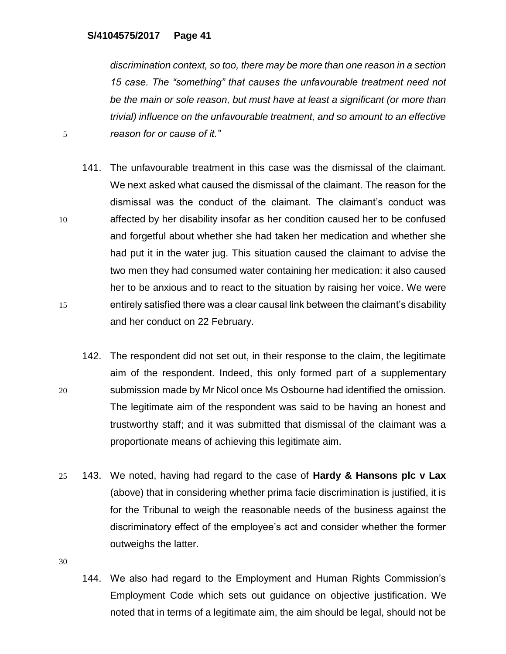*discrimination context, so too, there may be more than one reason in a section 15 case. The "something" that causes the unfavourable treatment need not be the main or sole reason, but must have at least a significant (or more than trivial) influence on the unfavourable treatment, and so amount to an effective*  5 *reason for or cause of it."*

- 141. The unfavourable treatment in this case was the dismissal of the claimant. We next asked what caused the dismissal of the claimant. The reason for the dismissal was the conduct of the claimant. The claimant's conduct was 10 affected by her disability insofar as her condition caused her to be confused and forgetful about whether she had taken her medication and whether she had put it in the water jug. This situation caused the claimant to advise the two men they had consumed water containing her medication: it also caused her to be anxious and to react to the situation by raising her voice. We were 15 entirely satisfied there was a clear causal link between the claimant's disability and her conduct on 22 February.
- 142. The respondent did not set out, in their response to the claim, the legitimate aim of the respondent. Indeed, this only formed part of a supplementary 20 submission made by Mr Nicol once Ms Osbourne had identified the omission. The legitimate aim of the respondent was said to be having an honest and trustworthy staff; and it was submitted that dismissal of the claimant was a proportionate means of achieving this legitimate aim.
- 25 143. We noted, having had regard to the case of **Hardy & Hansons plc v Lax** (above) that in considering whether prima facie discrimination is justified, it is for the Tribunal to weigh the reasonable needs of the business against the discriminatory effect of the employee's act and consider whether the former outweighs the latter.

30

144. We also had regard to the Employment and Human Rights Commission's Employment Code which sets out guidance on objective justification. We noted that in terms of a legitimate aim, the aim should be legal, should not be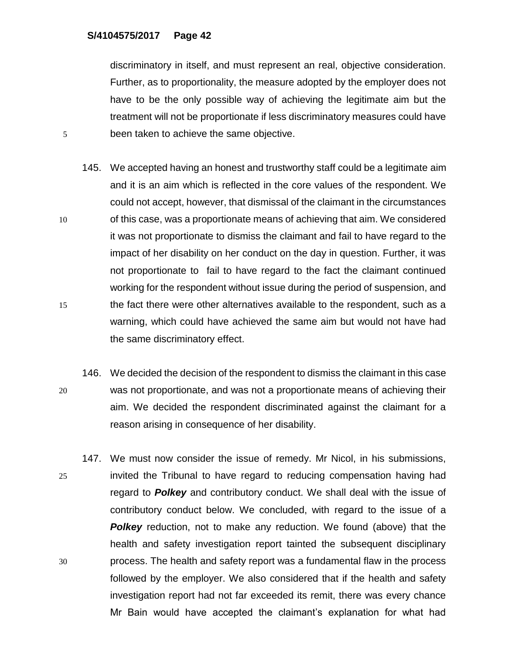discriminatory in itself, and must represent an real, objective consideration. Further, as to proportionality, the measure adopted by the employer does not have to be the only possible way of achieving the legitimate aim but the treatment will not be proportionate if less discriminatory measures could have 5 been taken to achieve the same objective.

- 145. We accepted having an honest and trustworthy staff could be a legitimate aim and it is an aim which is reflected in the core values of the respondent. We could not accept, however, that dismissal of the claimant in the circumstances 10 of this case, was a proportionate means of achieving that aim. We considered it was not proportionate to dismiss the claimant and fail to have regard to the impact of her disability on her conduct on the day in question. Further, it was not proportionate to fail to have regard to the fact the claimant continued working for the respondent without issue during the period of suspension, and 15 the fact there were other alternatives available to the respondent, such as a warning, which could have achieved the same aim but would not have had the same discriminatory effect.
- 146. We decided the decision of the respondent to dismiss the claimant in this case 20 was not proportionate, and was not a proportionate means of achieving their aim. We decided the respondent discriminated against the claimant for a reason arising in consequence of her disability.
- 147. We must now consider the issue of remedy. Mr Nicol, in his submissions, 25 invited the Tribunal to have regard to reducing compensation having had regard to *Polkey* and contributory conduct. We shall deal with the issue of contributory conduct below. We concluded, with regard to the issue of a **Polkey** reduction, not to make any reduction. We found (above) that the health and safety investigation report tainted the subsequent disciplinary 30 process. The health and safety report was a fundamental flaw in the process followed by the employer. We also considered that if the health and safety investigation report had not far exceeded its remit, there was every chance Mr Bain would have accepted the claimant's explanation for what had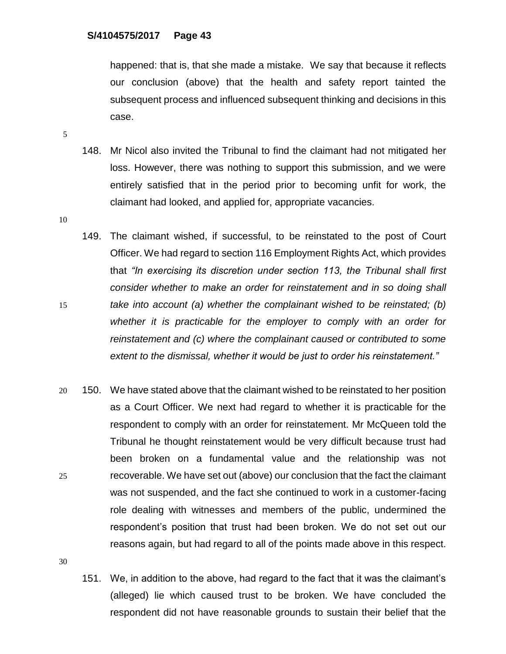happened: that is, that she made a mistake. We say that because it reflects our conclusion (above) that the health and safety report tainted the subsequent process and influenced subsequent thinking and decisions in this case.

5

- 148. Mr Nicol also invited the Tribunal to find the claimant had not mitigated her loss. However, there was nothing to support this submission, and we were entirely satisfied that in the period prior to becoming unfit for work, the claimant had looked, and applied for, appropriate vacancies.
- 10

149. The claimant wished, if successful, to be reinstated to the post of Court Officer. We had regard to section 116 Employment Rights Act, which provides that *"In exercising its discretion under section 113, the Tribunal shall first consider whether to make an order for reinstatement and in so doing shall*  15 *take into account (a) whether the complainant wished to be reinstated; (b) whether it is practicable for the employer to comply with an order for reinstatement and (c) where the complainant caused or contributed to some extent to the dismissal, whether it would be just to order his reinstatement."*

20 150. We have stated above that the claimant wished to be reinstated to her position as a Court Officer. We next had regard to whether it is practicable for the respondent to comply with an order for reinstatement. Mr McQueen told the Tribunal he thought reinstatement would be very difficult because trust had been broken on a fundamental value and the relationship was not 25 recoverable. We have set out (above) our conclusion that the fact the claimant was not suspended, and the fact she continued to work in a customer-facing role dealing with witnesses and members of the public, undermined the respondent's position that trust had been broken. We do not set out our reasons again, but had regard to all of the points made above in this respect.

30

151. We, in addition to the above, had regard to the fact that it was the claimant's (alleged) lie which caused trust to be broken. We have concluded the respondent did not have reasonable grounds to sustain their belief that the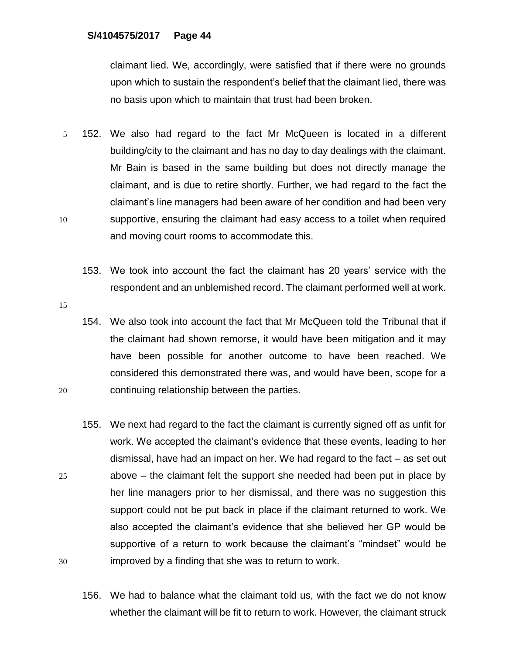claimant lied. We, accordingly, were satisfied that if there were no grounds upon which to sustain the respondent's belief that the claimant lied, there was no basis upon which to maintain that trust had been broken.

- 5 152. We also had regard to the fact Mr McQueen is located in a different building/city to the claimant and has no day to day dealings with the claimant. Mr Bain is based in the same building but does not directly manage the claimant, and is due to retire shortly. Further, we had regard to the fact the claimant's line managers had been aware of her condition and had been very 10 supportive, ensuring the claimant had easy access to a toilet when required and moving court rooms to accommodate this.
	- 153. We took into account the fact the claimant has 20 years' service with the respondent and an unblemished record. The claimant performed well at work.
- 15

154. We also took into account the fact that Mr McQueen told the Tribunal that if the claimant had shown remorse, it would have been mitigation and it may have been possible for another outcome to have been reached. We considered this demonstrated there was, and would have been, scope for a 20 continuing relationship between the parties.

- 155. We next had regard to the fact the claimant is currently signed off as unfit for work. We accepted the claimant's evidence that these events, leading to her dismissal, have had an impact on her. We had regard to the fact – as set out 25 above – the claimant felt the support she needed had been put in place by her line managers prior to her dismissal, and there was no suggestion this support could not be put back in place if the claimant returned to work. We also accepted the claimant's evidence that she believed her GP would be supportive of a return to work because the claimant's "mindset" would be 30 improved by a finding that she was to return to work.
	- 156. We had to balance what the claimant told us, with the fact we do not know whether the claimant will be fit to return to work. However, the claimant struck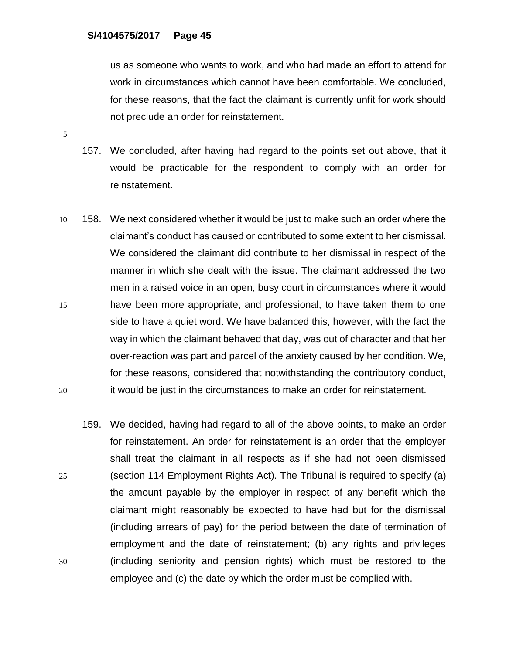us as someone who wants to work, and who had made an effort to attend for work in circumstances which cannot have been comfortable. We concluded, for these reasons, that the fact the claimant is currently unfit for work should not preclude an order for reinstatement.

- 157. We concluded, after having had regard to the points set out above, that it would be practicable for the respondent to comply with an order for reinstatement.
- 10 158. We next considered whether it would be just to make such an order where the claimant's conduct has caused or contributed to some extent to her dismissal. We considered the claimant did contribute to her dismissal in respect of the manner in which she dealt with the issue. The claimant addressed the two men in a raised voice in an open, busy court in circumstances where it would 15 have been more appropriate, and professional, to have taken them to one side to have a quiet word. We have balanced this, however, with the fact the way in which the claimant behaved that day, was out of character and that her over-reaction was part and parcel of the anxiety caused by her condition. We, for these reasons, considered that notwithstanding the contributory conduct, 20 it would be just in the circumstances to make an order for reinstatement.
- 159. We decided, having had regard to all of the above points, to make an order for reinstatement. An order for reinstatement is an order that the employer shall treat the claimant in all respects as if she had not been dismissed 25 (section 114 Employment Rights Act). The Tribunal is required to specify (a) the amount payable by the employer in respect of any benefit which the claimant might reasonably be expected to have had but for the dismissal (including arrears of pay) for the period between the date of termination of employment and the date of reinstatement; (b) any rights and privileges 30 (including seniority and pension rights) which must be restored to the employee and (c) the date by which the order must be complied with.